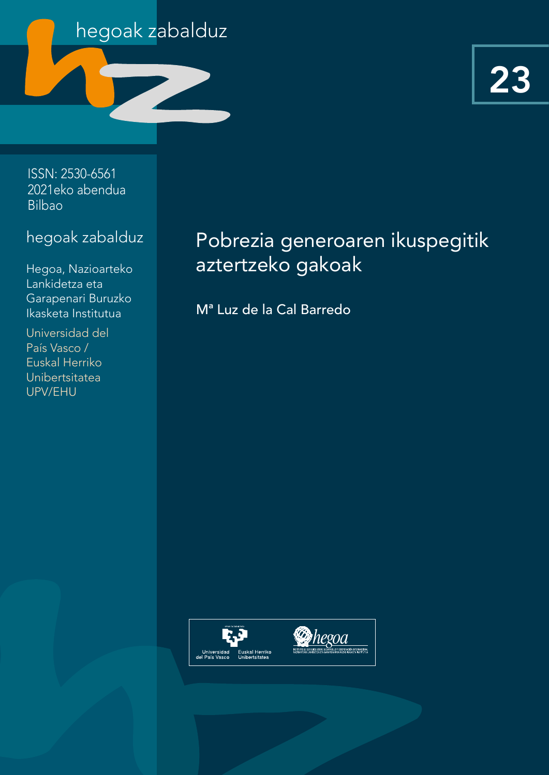

ISSN: 2530-6561 2021eko abendua Bilbao

## hegoak zabalduz

Hegoa, Nazioarteko Lankidetza eta Garapenari Buruzko Ikasketa Institutua

Universidad del País Vasco / Euskal Herriko Unibertsitatea UPV/EHU

# Pobrezia generoaren ikuspegitik aztertzeko gakoak

Mª Luz de la Cal Barredo

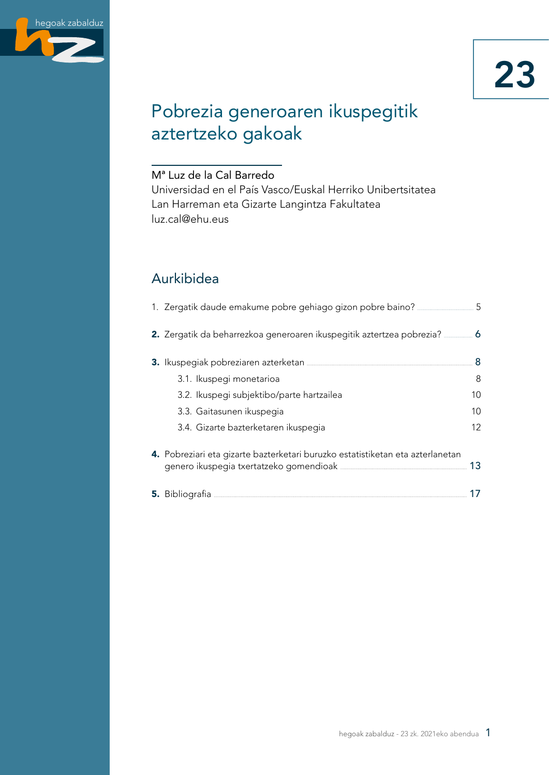

# Pobrezia generoaren ikuspegitik aztertzeko gakoak

#### Mª Luz de la Cal Barredo

Universidad en el País Vasco/Euskal Herriko Unibertsitatea Lan Harreman eta Gizarte Langintza Fakultatea luz.cal@ehu.eus

## Aurkibidea

| 1. Zergatik daude emakume pobre gehiago gizon pobre baino? __________________5                                                                                  |    |
|-----------------------------------------------------------------------------------------------------------------------------------------------------------------|----|
| 2. Zergatik da beharrezkoa generoaren ikuspegitik aztertzea pobrezia?                                                                                           | 6  |
| 3. Ikuspegiak pobreziaren azterketan <b>alamarrak direnak azterketan alaman azter</b>                                                                           | 8  |
| 3.1. Ikuspegi monetarioa                                                                                                                                        | 8  |
| 3.2. Ikuspegi subjektibo/parte hartzailea                                                                                                                       | 10 |
| 3.3. Gaitasunen ikuspegia                                                                                                                                       | 10 |
| 3.4. Gizarte bazterketaren ikuspegia                                                                                                                            | 12 |
| 4. Pobreziari eta gizarte bazterketari buruzko estatistiketan eta azterlanetan<br>genero ikuspegia txertatzeko gomendioak <b>warele alian zuten zuten zuten</b> | 13 |
|                                                                                                                                                                 |    |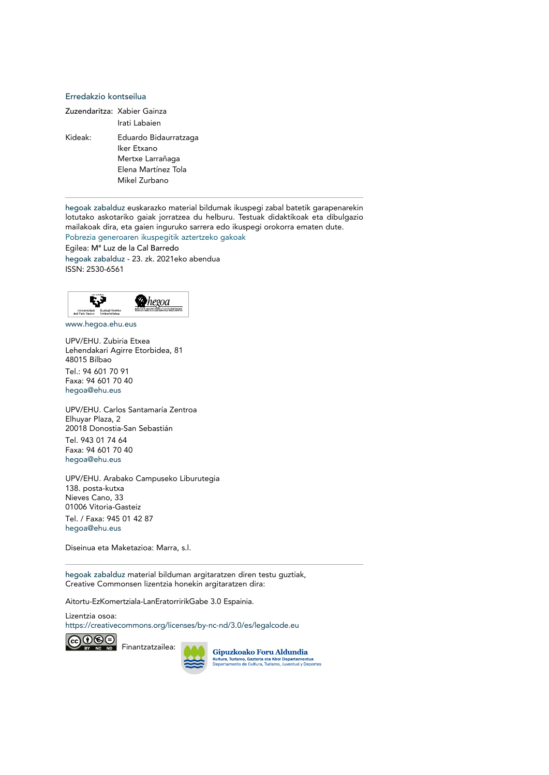#### Erredakzio kontseilua

Zuzendaritza: Xabier Gainza Irati Labaien Kideak: Eduardo Bidaurratzaga Iker Etxano Mertxe Larrañaga Elena Martínez Tola Mikel Zurbano

hegoak zabalduz euskarazko material bildumak ikuspegi zabal batetik garapenarekin lotutako askotariko gaiak jorratzea du helburu. Testuak didaktikoak eta dibulgazio mailakoak dira, eta gaien inguruko sarrera edo ikuspegi orokorra ematen dute.

Pobrezia generoaren ikuspegitik aztertzeko gakoak Egilea: Mª Luz de la Cal Barredo

hegoak zabalduz - 23. zk. 2021eko abendua ISSN: 2530-6561



[www.hegoa.ehu.eus](https://www.hegoa.ehu.eus/eu)

UPV/EHU. Zubiria Etxea Lehendakari Agirre Etorbidea, 81 48015 Bilbao Tel.: 94 601 70 91 Faxa: 94 601 70 40 [hegoa@ehu.eus](mailto:hegoa%40ehu.eus?subject=)

UPV/EHU. Carlos Santamaría Zentroa Elhuyar Plaza, 2 20018 Donostia-San Sebastián Tel. 943 01 74 64 Faxa: 94 601 70 40 [hegoa@ehu.eus](mailto:hegoa%40ehu.eus?subject=)

UPV/EHU. Arabako Campuseko Liburutegia 138. posta-kutxa Nieves Cano, 33 01006 Vitoria-Gasteiz Tel. / Faxa: 945 01 42 87 [hegoa@ehu.eus](mailto:hegoa%40ehu.eus?subject=)

Diseinua eta Maketazioa: Marra, s.l.

hegoak zabalduz material bilduman argitaratzen diren testu guztiak, Creative Commonsen lizentzia honekin argitaratzen dira:

Aitortu-EzKomertziala-LanEratorririkGabe 3.0 Espainia.

Lizentzia osoa: <https://creativecommons.org/licenses/by-nc-nd/3.0/es/legalcode.eu>



Finantzatzailea:

Gipuzkoako Foru Aldundia<br>Kultura, Turismo, Gazteria eta Kirol Departamentua<br>Departamento de Cultura, Turismo, Juventud y Deportes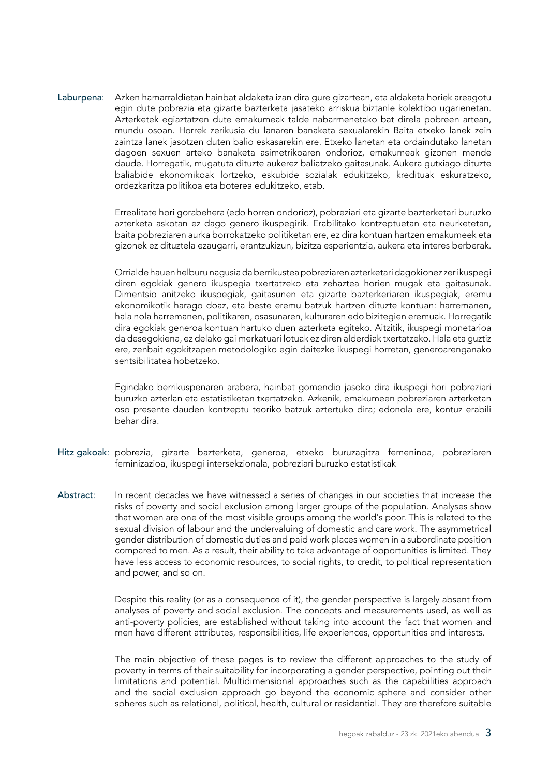Laburpena: Azken hamarraldietan hainbat aldaketa izan dira gure gizartean, eta aldaketa horiek areagotu egin dute pobrezia eta gizarte bazterketa jasateko arriskua biztanle kolektibo ugarienetan. Azterketek egiaztatzen dute emakumeak talde nabarmenetako bat direla pobreen artean, mundu osoan. Horrek zerikusia du lanaren banaketa sexualarekin Baita etxeko lanek zein zaintza lanek jasotzen duten balio eskasarekin ere. Etxeko lanetan eta ordaindutako lanetan dagoen sexuen arteko banaketa asimetrikoaren ondorioz, emakumeak gizonen mende daude. Horregatik, mugatuta dituzte aukerez baliatzeko gaitasunak. Aukera gutxiago dituzte baliabide ekonomikoak lortzeko, eskubide sozialak edukitzeko, kredituak eskuratzeko, ordezkaritza politikoa eta boterea edukitzeko, etab.

> Errealitate hori gorabehera (edo horren ondorioz), pobreziari eta gizarte bazterketari buruzko azterketa askotan ez dago genero ikuspegirik. Erabilitako kontzeptuetan eta neurketetan, baita pobreziaren aurka borrokatzeko politiketan ere, ez dira kontuan hartzen emakumeek eta gizonek ez dituztela ezaugarri, erantzukizun, bizitza esperientzia, aukera eta interes berberak.

> Orrialde hauen helburu nagusia da berrikustea pobreziaren azterketari dagokionez zer ikuspegi diren egokiak genero ikuspegia txertatzeko eta zehaztea horien mugak eta gaitasunak. Dimentsio anitzeko ikuspegiak, gaitasunen eta gizarte bazterkeriaren ikuspegiak, eremu ekonomikotik harago doaz, eta beste eremu batzuk hartzen dituzte kontuan: harremanen, hala nola harremanen, politikaren, osasunaren, kulturaren edo bizitegien eremuak. Horregatik dira egokiak generoa kontuan hartuko duen azterketa egiteko. Aitzitik, ikuspegi monetarioa da desegokiena, ez delako gai merkatuari lotuak ez diren alderdiak txertatzeko. Hala eta guztiz ere, zenbait egokitzapen metodologiko egin daitezke ikuspegi horretan, generoarenganako sentsibilitatea hobetzeko.

> Egindako berrikuspenaren arabera, hainbat gomendio jasoko dira ikuspegi hori pobreziari buruzko azterlan eta estatistiketan txertatzeko. Azkenik, emakumeen pobreziaren azterketan oso presente dauden kontzeptu teoriko batzuk aztertuko dira; edonola ere, kontuz erabili behar dira.

- Hitz gakoak: pobrezia, gizarte bazterketa, generoa, etxeko buruzagitza femeninoa, pobreziaren feminizazioa, ikuspegi intersekzionala, pobreziari buruzko estatistikak
- Abstract: In recent decades we have witnessed a series of changes in our societies that increase the risks of poverty and social exclusion among larger groups of the population. Analyses show that women are one of the most visible groups among the world's poor. This is related to the sexual division of labour and the undervaluing of domestic and care work. The asymmetrical gender distribution of domestic duties and paid work places women in a subordinate position compared to men. As a result, their ability to take advantage of opportunities is limited. They have less access to economic resources, to social rights, to credit, to political representation and power, and so on.

Despite this reality (or as a consequence of it), the gender perspective is largely absent from analyses of poverty and social exclusion. The concepts and measurements used, as well as anti-poverty policies, are established without taking into account the fact that women and men have different attributes, responsibilities, life experiences, opportunities and interests.

The main objective of these pages is to review the different approaches to the study of poverty in terms of their suitability for incorporating a gender perspective, pointing out their limitations and potential. Multidimensional approaches such as the capabilities approach and the social exclusion approach go beyond the economic sphere and consider other spheres such as relational, political, health, cultural or residential. They are therefore suitable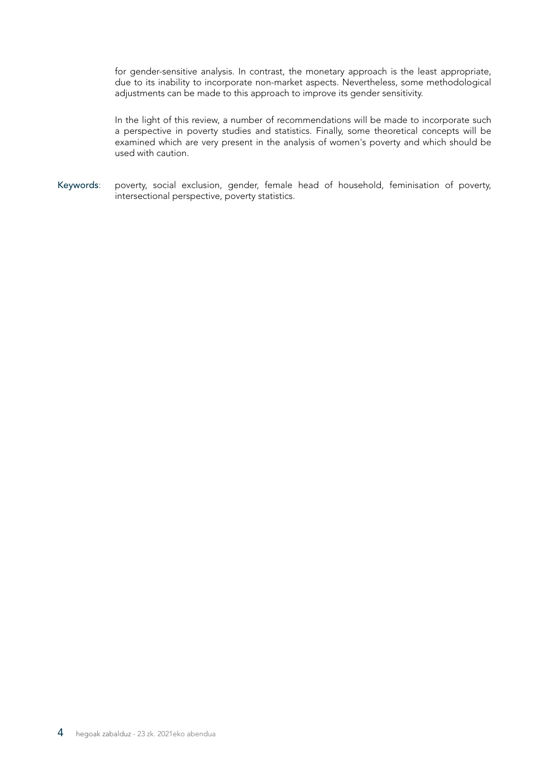for gender-sensitive analysis. In contrast, the monetary approach is the least appropriate, due to its inability to incorporate non-market aspects. Nevertheless, some methodological adjustments can be made to this approach to improve its gender sensitivity.

In the light of this review, a number of recommendations will be made to incorporate such a perspective in poverty studies and statistics. Finally, some theoretical concepts will be examined which are very present in the analysis of women's poverty and which should be used with caution.

Keywords: poverty, social exclusion, gender, female head of household, feminisation of poverty, intersectional perspective, poverty statistics.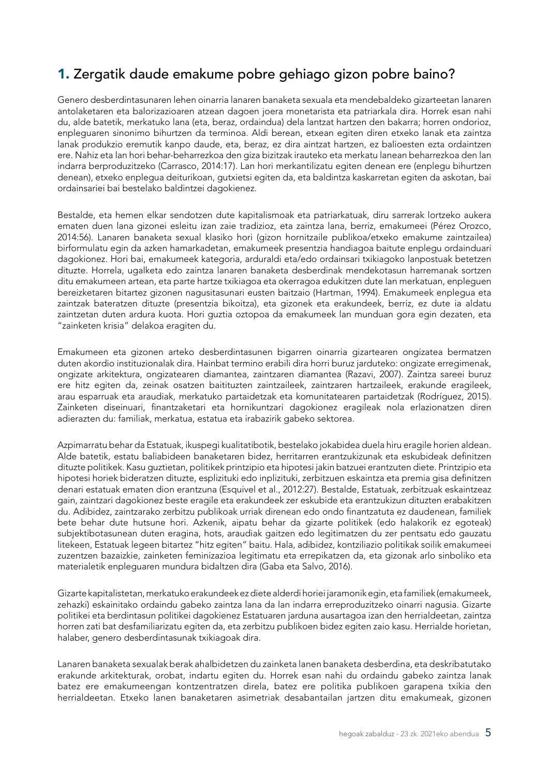## <span id="page-6-0"></span>1. Zergatik daude emakume pobre gehiago gizon pobre baino?

Genero desberdintasunaren lehen oinarria lanaren banaketa sexuala eta mendebaldeko gizarteetan lanaren antolaketaren eta balorizazioaren atzean dagoen joera monetarista eta patriarkala dira. Horrek esan nahi du, alde batetik, merkatuko lana (eta, beraz, ordaindua) dela lantzat hartzen den bakarra; horren ondorioz, enpleguaren sinonimo bihurtzen da terminoa. Aldi berean, etxean egiten diren etxeko lanak eta zaintza lanak produkzio eremutik kanpo daude, eta, beraz, ez dira aintzat hartzen, ez balioesten ezta ordaintzen ere. Nahiz eta lan hori behar-beharrezkoa den giza bizitzak irauteko eta merkatu lanean beharrezkoa den lan indarra berproduzitzeko (Carrasco, 2014:17). Lan hori merkantilizatu egiten denean ere (enplegu bihurtzen denean), etxeko enplegua deiturikoan, gutxietsi egiten da, eta baldintza kaskarretan egiten da askotan, bai ordainsariei bai bestelako baldintzei dagokienez.

Bestalde, eta hemen elkar sendotzen dute kapitalismoak eta patriarkatuak, diru sarrerak lortzeko aukera ematen duen lana gizonei esleitu izan zaie tradizioz, eta zaintza lana, berriz, emakumeei (Pérez Orozco, 2014:56). Lanaren banaketa sexual klasiko hori (gizon hornitzaile publikoa/etxeko emakume zaintzailea) birformulatu egin da azken hamarkadetan, emakumeek presentzia handiagoa baitute enplegu ordainduari dagokionez. Hori bai, emakumeek kategoria, arduraldi eta/edo ordainsari txikiagoko lanpostuak betetzen dituzte. Horrela, ugalketa edo zaintza lanaren banaketa desberdinak mendekotasun harremanak sortzen ditu emakumeen artean, eta parte hartze txikiagoa eta okerragoa edukitzen dute lan merkatuan, enpleguen bereizketaren bitartez gizonen nagusitasunari eusten baitzaio (Hartman, 1994). Emakumeek enplegua eta zaintzak bateratzen dituzte (presentzia bikoitza), eta gizonek eta erakundeek, berriz, ez dute ia aldatu zaintzetan duten ardura kuota. Hori guztia oztopoa da emakumeek lan munduan gora egin dezaten, eta "zainketen krisia" delakoa eragiten du.

Emakumeen eta gizonen arteko desberdintasunen bigarren oinarria gizartearen ongizatea bermatzen duten akordio instituzionalak dira. Hainbat termino erabili dira horri buruz jarduteko: ongizate erregimenak, ongizate arkitektura, ongizatearen diamantea, zaintzaren diamantea (Razavi, 2007). Zaintza sareei buruz ere hitz egiten da, zeinak osatzen baitituzten zaintzaileek, zaintzaren hartzaileek, erakunde eragileek, arau esparruak eta araudiak, merkatuko partaidetzak eta komunitatearen partaidetzak (Rodríguez, 2015). Zainketen diseinuari, finantzaketari eta hornikuntzari dagokionez eragileak nola erlazionatzen diren adierazten du: familiak, merkatua, estatua eta irabazirik gabeko sektorea.

Azpimarratu behar da Estatuak, ikuspegi kualitatibotik, bestelako jokabidea duela hiru eragile horien aldean. Alde batetik, estatu baliabideen banaketaren bidez, herritarren erantzukizunak eta eskubideak definitzen dituzte politikek. Kasu guztietan, politikek printzipio eta hipotesi jakin batzuei erantzuten diete. Printzipio eta hipotesi horiek bideratzen dituzte, esplizituki edo inplizituki, zerbitzuen eskaintza eta premia gisa definitzen denari estatuak ematen dion erantzuna (Esquivel et al., 2012:27). Bestalde, Estatuak, zerbitzuak eskaintzeaz gain, zaintzari dagokionez beste eragile eta erakundeek zer eskubide eta erantzukizun dituzten erabakitzen du. Adibidez, zaintzarako zerbitzu publikoak urriak direnean edo ondo finantzatuta ez daudenean, familiek bete behar dute hutsune hori. Azkenik, aipatu behar da gizarte politikek (edo halakorik ez egoteak) subjektibotasunean duten eragina, hots, araudiak gaitzen edo legitimatzen du zer pentsatu edo gauzatu litekeen, Estatuak legeen bitartez "hitz egiten" baitu. Hala, adibidez, kontziliazio politikak soilik emakumeei zuzentzen bazaizkie, zainketen feminizazioa legitimatu eta errepikatzen da, eta gizonak arlo sinboliko eta materialetik enpleguaren mundura bidaltzen dira (Gaba eta Salvo, 2016).

Gizarte kapitalistetan, merkatuko erakundeek ez diete alderdi horiei jaramonik egin, eta familiek (emakumeek, zehazki) eskainitako ordaindu gabeko zaintza lana da lan indarra erreproduzitzeko oinarri nagusia. Gizarte politikei eta berdintasun politikei dagokienez Estatuaren jarduna ausartagoa izan den herrialdeetan, zaintza horren zati bat desfamiliarizatu egiten da, eta zerbitzu publikoen bidez egiten zaio kasu. Herrialde horietan, halaber, genero desberdintasunak txikiagoak dira.

Lanaren banaketa sexualak berak ahalbidetzen du zainketa lanen banaketa desberdina, eta deskribatutako erakunde arkitekturak, orobat, indartu egiten du. Horrek esan nahi du ordaindu gabeko zaintza lanak batez ere emakumeengan kontzentratzen direla, batez ere politika publikoen garapena txikia den herrialdeetan. Etxeko lanen banaketaren asimetriak desabantailan jartzen ditu emakumeak, gizonen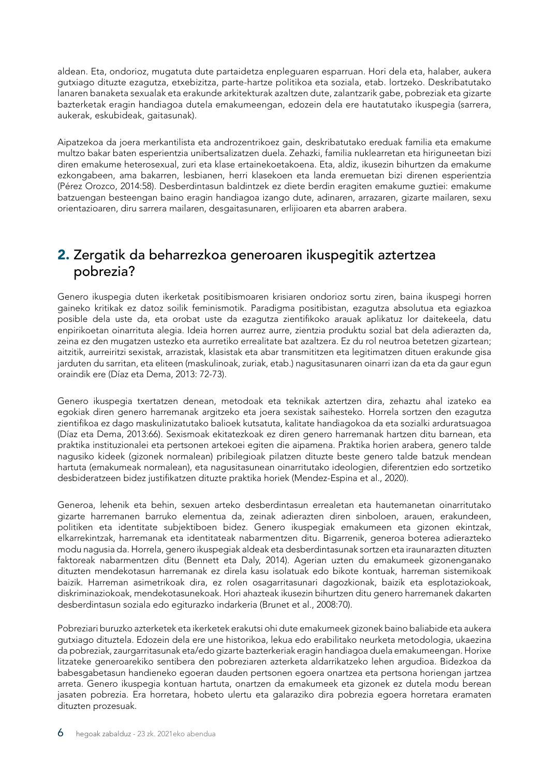<span id="page-7-0"></span>aldean. Eta, ondorioz, mugatuta dute partaidetza enpleguaren esparruan. Hori dela eta, halaber, aukera gutxiago dituzte ezagutza, etxebizitza, parte-hartze politikoa eta soziala, etab. lortzeko. Deskribatutako lanaren banaketa sexualak eta erakunde arkitekturak azaltzen dute, zalantzarik gabe, pobreziak eta gizarte bazterketak eragin handiagoa dutela emakumeengan, edozein dela ere hautatutako ikuspegia (sarrera, aukerak, eskubideak, gaitasunak).

Aipatzekoa da joera merkantilista eta androzentrikoez gain, deskribatutako ereduak familia eta emakume multzo bakar baten esperientzia unibertsalizatzen duela. Zehazki, familia nuklearretan eta hiriguneetan bizi diren emakume heterosexual, zuri eta klase ertainekoetakoena. Eta, aldiz, ikusezin bihurtzen da emakume ezkongabeen, ama bakarren, lesbianen, herri klasekoen eta landa eremuetan bizi direnen esperientzia (Pérez Orozco, 2014:58). Desberdintasun baldintzek ez diete berdin eragiten emakume guztiei: emakume batzuengan besteengan baino eragin handiagoa izango dute, adinaren, arrazaren, gizarte mailaren, sexu orientazioaren, diru sarrera mailaren, desgaitasunaren, erlijioaren eta abarren arabera.

#### 2. Zergatik da beharrezkoa generoaren ikuspegitik aztertzea pobrezia?

Genero ikuspegia duten ikerketak positibismoaren krisiaren ondorioz sortu ziren, baina ikuspegi horren gaineko kritikak ez datoz soilik feminismotik. Paradigma positibistan, ezagutza absolutua eta egiazkoa posible dela uste da, eta orobat uste da ezagutza zientifikoko arauak aplikatuz lor daitekeela, datu enpirikoetan oinarrituta alegia. Ideia horren aurrez aurre, zientzia produktu sozial bat dela adierazten da, zeina ez den mugatzen ustezko eta aurretiko errealitate bat azaltzera. Ez du rol neutroa betetzen gizartean; aitzitik, aurreiritzi sexistak, arrazistak, klasistak eta abar transmititzen eta legitimatzen dituen erakunde gisa jarduten du sarritan, eta eliteen (maskulinoak, zuriak, etab.) nagusitasunaren oinarri izan da eta da gaur egun oraindik ere (Díaz eta Dema, 2013: 72-73).

Genero ikuspegia txertatzen denean, metodoak eta teknikak aztertzen dira, zehaztu ahal izateko ea egokiak diren genero harremanak argitzeko eta joera sexistak saihesteko. Horrela sortzen den ezagutza zientifikoa ez dago maskulinizatutako balioek kutsatuta, kalitate handiagokoa da eta sozialki arduratsuagoa (Díaz eta Dema, 2013:66). Sexismoak ekitatezkoak ez diren genero harremanak hartzen ditu barnean, eta praktika instituzionalei eta pertsonen artekoei egiten die aipamena. Praktika horien arabera, genero talde nagusiko kideek (gizonek normalean) pribilegioak pilatzen dituzte beste genero talde batzuk mendean hartuta (emakumeak normalean), eta nagusitasunean oinarritutako ideologien, diferentzien edo sortzetiko desbideratzeen bidez justifikatzen dituzte praktika horiek (Mendez-Espina et al., 2020).

Generoa, lehenik eta behin, sexuen arteko desberdintasun errealetan eta hautemanetan oinarritutako gizarte harremanen barruko elementua da, zeinak adierazten diren sinboloen, arauen, erakundeen, politiken eta identitate subjektiboen bidez. Genero ikuspegiak emakumeen eta gizonen ekintzak, elkarrekintzak, harremanak eta identitateak nabarmentzen ditu. Bigarrenik, generoa boterea adierazteko modu nagusia da. Horrela, genero ikuspegiak aldeak eta desberdintasunak sortzen eta iraunarazten dituzten faktoreak nabarmentzen ditu (Bennett eta Daly, 2014). Agerian uzten du emakumeek gizonenganako dituzten mendekotasun harremanak ez direla kasu isolatuak edo bikote kontuak, harreman sistemikoak baizik. Harreman asimetrikoak dira, ez rolen osagarritasunari dagozkionak, baizik eta esplotaziokoak, diskriminaziokoak, mendekotasunekoak. Hori ahazteak ikusezin bihurtzen ditu genero harremanek dakarten desberdintasun soziala edo egiturazko indarkeria (Brunet et al., 2008:70).

Pobreziari buruzko azterketek eta ikerketek erakutsi ohi dute emakumeek gizonek baino baliabide eta aukera gutxiago dituztela. Edozein dela ere une historikoa, lekua edo erabilitako neurketa metodologia, ukaezina da pobreziak, zaurgarritasunak eta/edo gizarte bazterkeriak eragin handiagoa duela emakumeengan. Horixe litzateke generoarekiko sentibera den pobreziaren azterketa aldarrikatzeko lehen argudioa. Bidezkoa da babesgabetasun handieneko egoeran dauden pertsonen egoera onartzea eta pertsona horiengan jartzea arreta. Genero ikuspegia kontuan hartuta, onartzen da emakumeek eta gizonek ez dutela modu berean jasaten pobrezia. Era horretara, hobeto ulertu eta galaraziko dira pobrezia egoera horretara eramaten dituzten prozesuak.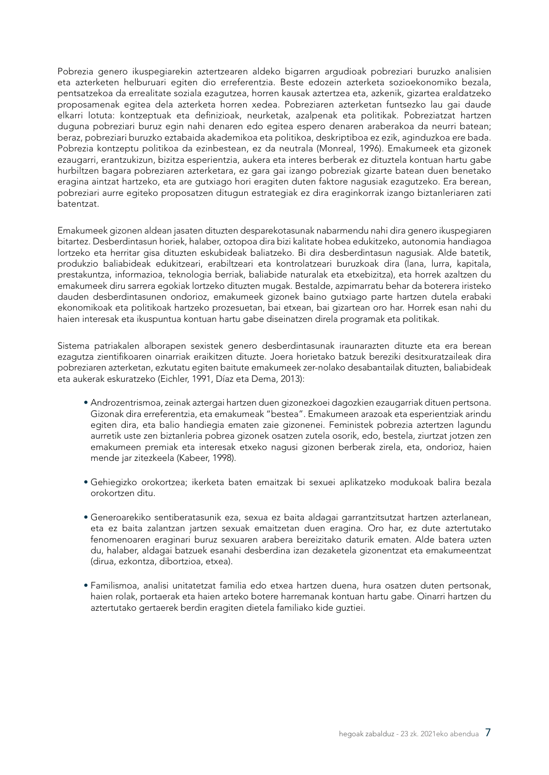Pobrezia genero ikuspegiarekin aztertzearen aldeko bigarren argudioak pobreziari buruzko analisien eta azterketen helburuari egiten dio erreferentzia. Beste edozein azterketa sozioekonomiko bezala, pentsatzekoa da errealitate soziala ezagutzea, horren kausak aztertzea eta, azkenik, gizartea eraldatzeko proposamenak egitea dela azterketa horren xedea. Pobreziaren azterketan funtsezko lau gai daude elkarri lotuta: kontzeptuak eta definizioak, neurketak, azalpenak eta politikak. Pobreziatzat hartzen duguna pobreziari buruz egin nahi denaren edo egitea espero denaren araberakoa da neurri batean; beraz, pobreziari buruzko eztabaida akademikoa eta politikoa, deskriptiboa ez ezik, aginduzkoa ere bada. Pobrezia kontzeptu politikoa da ezinbestean, ez da neutrala (Monreal, 1996). Emakumeek eta gizonek ezaugarri, erantzukizun, bizitza esperientzia, aukera eta interes berberak ez dituztela kontuan hartu gabe hurbiltzen bagara pobreziaren azterketara, ez gara gai izango pobreziak gizarte batean duen benetako eragina aintzat hartzeko, eta are gutxiago hori eragiten duten faktore nagusiak ezagutzeko. Era berean, pobreziari aurre egiteko proposatzen ditugun estrategiak ez dira eraginkorrak izango biztanleriaren zati batentzat.

Emakumeek gizonen aldean jasaten dituzten desparekotasunak nabarmendu nahi dira genero ikuspegiaren bitartez. Desberdintasun horiek, halaber, oztopoa dira bizi kalitate hobea edukitzeko, autonomia handiagoa lortzeko eta herritar gisa dituzten eskubideak baliatzeko. Bi dira desberdintasun nagusiak. Alde batetik, produkzio baliabideak edukitzeari, erabiltzeari eta kontrolatzeari buruzkoak dira (lana, lurra, kapitala, prestakuntza, informazioa, teknologia berriak, baliabide naturalak eta etxebizitza), eta horrek azaltzen du emakumeek diru sarrera egokiak lortzeko dituzten mugak. Bestalde, azpimarratu behar da boterera iristeko dauden desberdintasunen ondorioz, emakumeek gizonek baino gutxiago parte hartzen dutela erabaki ekonomikoak eta politikoak hartzeko prozesuetan, bai etxean, bai gizartean oro har. Horrek esan nahi du haien interesak eta ikuspuntua kontuan hartu gabe diseinatzen direla programak eta politikak.

Sistema patriakalen alborapen sexistek genero desberdintasunak iraunarazten dituzte eta era berean ezagutza zientifikoaren oinarriak eraikitzen dituzte. Joera horietako batzuk bereziki desitxuratzaileak dira pobreziaren azterketan, ezkutatu egiten baitute emakumeek zer-nolako desabantailak dituzten, baliabideak eta aukerak eskuratzeko (Eichler, 1991, Díaz eta Dema, 2013):

- Androzentrismoa, zeinak aztergai hartzen duen gizonezkoei dagozkien ezaugarriak dituen pertsona. Gizonak dira erreferentzia, eta emakumeak "bestea". Emakumeen arazoak eta esperientziak arindu egiten dira, eta balio handiegia ematen zaie gizonenei. Feministek pobrezia aztertzen lagundu aurretik uste zen biztanleria pobrea gizonek osatzen zutela osorik, edo, bestela, ziurtzat jotzen zen emakumeen premiak eta interesak etxeko nagusi gizonen berberak zirela, eta, ondorioz, haien mende jar zitezkeela (Kabeer, 1998).
- Gehiegizko orokortzea; ikerketa baten emaitzak bi sexuei aplikatzeko modukoak balira bezala orokortzen ditu.
- Generoarekiko sentiberatasunik eza, sexua ez baita aldagai garrantzitsutzat hartzen azterlanean, eta ez baita zalantzan jartzen sexuak emaitzetan duen eragina. Oro har, ez dute aztertutako fenomenoaren eraginari buruz sexuaren arabera bereizitako daturik ematen. Alde batera uzten du, halaber, aldagai batzuek esanahi desberdina izan dezaketela gizonentzat eta emakumeentzat (dirua, ezkontza, dibortzioa, etxea).
- Familismoa, analisi unitatetzat familia edo etxea hartzen duena, hura osatzen duten pertsonak, haien rolak, portaerak eta haien arteko botere harremanak kontuan hartu gabe. Oinarri hartzen du aztertutako gertaerek berdin eragiten dietela familiako kide guztiei.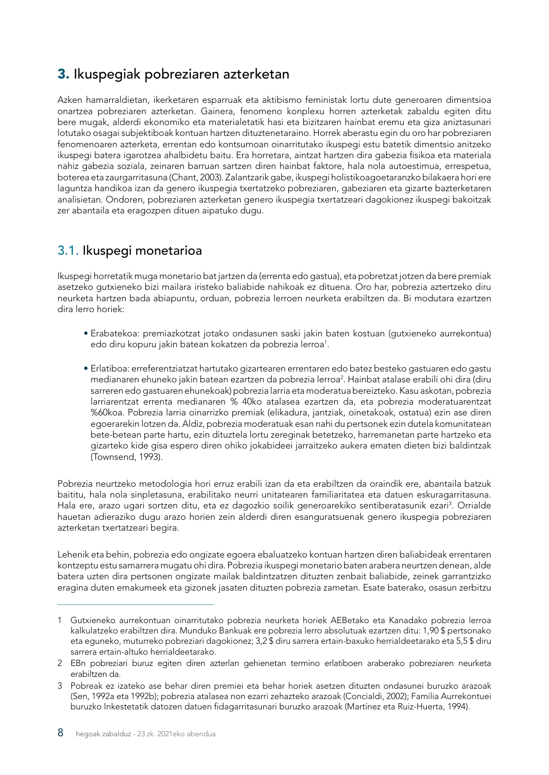### <span id="page-9-0"></span>3. Ikuspegiak pobreziaren azterketan

Azken hamarraldietan, ikerketaren esparruak eta aktibismo feministak lortu dute generoaren dimentsioa onartzea pobreziaren azterketan. Gainera, fenomeno konplexu horren azterketak zabaldu egiten ditu bere mugak, alderdi ekonomiko eta materialetatik hasi eta bizitzaren hainbat eremu eta giza aniztasunari lotutako osagai subjektiboak kontuan hartzen dituztenetaraino. Horrek aberastu egin du oro har pobreziaren fenomenoaren azterketa, errentan edo kontsumoan oinarritutako ikuspegi estu batetik dimentsio anitzeko ikuspegi batera igarotzea ahalbidetu baitu. Era horretara, aintzat hartzen dira gabezia fisikoa eta materiala nahiz gabezia soziala, zeinaren barruan sartzen diren hainbat faktore, hala nola autoestimua, errespetua, boterea eta zaurgarritasuna (Chant, 2003). Zalantzarik gabe, ikuspegi holistikoagoetaranzko bilakaera hori ere laguntza handikoa izan da genero ikuspegia txertatzeko pobreziaren, gabeziaren eta gizarte bazterketaren analisietan. Ondoren, pobreziaren azterketan genero ikuspegia txertatzeari dagokionez ikuspegi bakoitzak zer abantaila eta eragozpen dituen aipatuko dugu.

#### 3.1. Ikuspegi monetarioa

Ikuspegi horretatik muga monetario bat jartzen da (errenta edo gastua), eta pobretzat jotzen da bere premiak asetzeko gutxieneko bizi mailara iristeko baliabide nahikoak ez dituena. Oro har, pobrezia aztertzeko diru neurketa hartzen bada abiapuntu, orduan, pobrezia lerroen neurketa erabiltzen da. Bi modutara ezartzen dira lerro horiek:

- Erabatekoa: premiazkotzat jotako ondasunen saski jakin baten kostuan (gutxieneko aurrekontua) edo diru kopuru jakin batean kokatzen da pobrezia lerroa<sup>1</sup>.
- Erlatiboa: erreferentziatzat hartutako gizartearen errentaren edo batez besteko gastuaren edo gastu medianaren ehuneko jakin batean ezartzen da pobrezia lerroa<sup>2</sup>. Hainbat atalase erabili ohi dira (diru sarreren edo gastuaren ehunekoak) pobrezia larria eta moderatua bereizteko. Kasu askotan, pobrezia larriarentzat errenta medianaren % 40ko atalasea ezartzen da, eta pobrezia moderatuarentzat %60koa. Pobrezia larria oinarrizko premiak (elikadura, jantziak, oinetakoak, ostatua) ezin ase diren egoerarekin lotzen da. Aldiz, pobrezia moderatuak esan nahi du pertsonek ezin dutela komunitatean bete-betean parte hartu, ezin dituztela lortu zereginak betetzeko, harremanetan parte hartzeko eta gizarteko kide gisa espero diren ohiko jokabideei jarraitzeko aukera ematen dieten bizi baldintzak (Townsend, 1993).

Pobrezia neurtzeko metodologia hori erruz erabili izan da eta erabiltzen da oraindik ere, abantaila batzuk baititu, hala nola sinpletasuna, erabilitako neurri unitatearen familiaritatea eta datuen eskuragarritasuna. Hala ere, arazo ugari sortzen ditu, eta ez dagozkio soilik generoarekiko sentiberatasunik ezari<sup>3</sup>. Orrialde hauetan adieraziko dugu arazo horien zein alderdi diren esanguratsuenak genero ikuspegia pobreziaren azterketan txertatzeari begira.

Lehenik eta behin, pobrezia edo ongizate egoera ebaluatzeko kontuan hartzen diren baliabideak errentaren kontzeptu estu samarrera mugatu ohi dira. Pobrezia ikuspegi monetario baten arabera neurtzen denean, alde batera uzten dira pertsonen ongizate mailak baldintzatzen dituzten zenbait baliabide, zeinek garrantzizko eragina duten emakumeek eta gizonek jasaten dituzten pobrezia zametan. Esate baterako, osasun zerbitzu

<sup>1</sup> Gutxieneko aurrekontuan oinarritutako pobrezia neurketa horiek AEBetako eta Kanadako pobrezia lerroa kalkulatzeko erabiltzen dira. Munduko Bankuak ere pobrezia lerro absolutuak ezartzen ditu: 1,90 \$ pertsonako eta eguneko, muturreko pobreziari dagokionez; 3,2 \$ diru sarrera ertain-baxuko herrialdeetarako eta 5,5 \$ diru sarrera ertain-altuko herrialdeetarako.

<sup>2</sup> EBn pobreziari buruz egiten diren azterlan gehienetan termino erlatiboen araberako pobreziaren neurketa erabiltzen da.

<sup>3</sup> Pobreak ez izateko ase behar diren premiei eta behar horiek asetzen dituzten ondasunei buruzko arazoak (Sen, 1992a eta 1992b); pobrezia atalasea non ezarri zehazteko arazoak (Concialdi, 2002); Familia Aurrekontuei buruzko Inkestetatik datozen datuen fidagarritasunari buruzko arazoak (Martínez eta Ruiz-Huerta, 1994).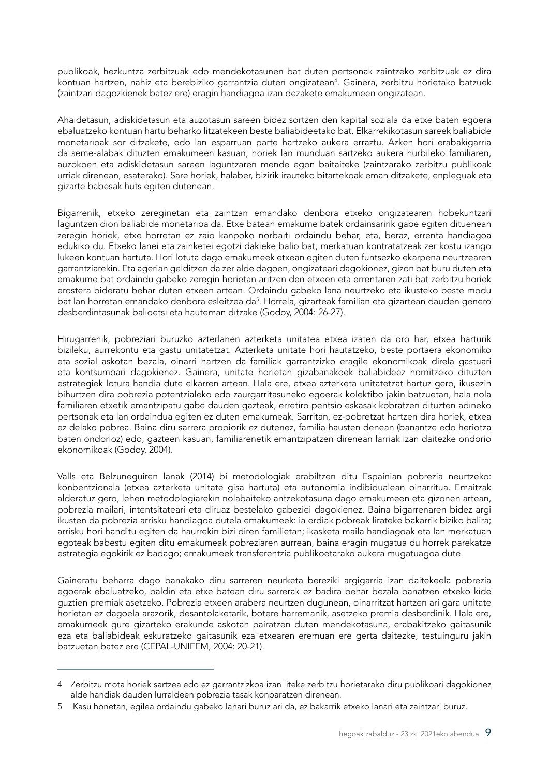publikoak, hezkuntza zerbitzuak edo mendekotasunen bat duten pertsonak zaintzeko zerbitzuak ez dira kontuan hartzen, nahiz eta berebiziko garrantzia duten ongizatean<sup>4</sup>. Gainera, zerbitzu horietako batzuek (zaintzari dagozkienek batez ere) eragin handiagoa izan dezakete emakumeen ongizatean.

Ahaidetasun, adiskidetasun eta auzotasun sareen bidez sortzen den kapital soziala da etxe baten egoera ebaluatzeko kontuan hartu beharko litzatekeen beste baliabideetako bat. Elkarrekikotasun sareek baliabide monetarioak sor ditzakete, edo lan esparruan parte hartzeko aukera erraztu. Azken hori erabakigarria da seme-alabak dituzten emakumeen kasuan, horiek lan munduan sartzeko aukera hurbileko familiaren, auzokoen eta adiskidetasun sareen laguntzaren mende egon baitaiteke (zaintzarako zerbitzu publikoak urriak direnean, esaterako). Sare horiek, halaber, bizirik irauteko bitartekoak eman ditzakete, enpleguak eta gizarte babesak huts egiten dutenean.

Bigarrenik, etxeko zereginetan eta zaintzan emandako denbora etxeko ongizatearen hobekuntzari laguntzen dion baliabide monetarioa da. Etxe batean emakume batek ordainsaririk gabe egiten dituenean zeregin horiek, etxe horretan ez zaio kanpoko norbaiti ordaindu behar, eta, beraz, errenta handiagoa edukiko du. Etxeko lanei eta zainketei egotzi dakieke balio bat, merkatuan kontratatzeak zer kostu izango lukeen kontuan hartuta. Hori lotuta dago emakumeek etxean egiten duten funtsezko ekarpena neurtzearen garrantziarekin. Eta agerian gelditzen da zer alde dagoen, ongizateari dagokionez, gizon bat buru duten eta emakume bat ordaindu gabeko zeregin horietan aritzen den etxeen eta errentaren zati bat zerbitzu horiek erostera bideratu behar duten etxeen artean. Ordaindu gabeko lana neurtzeko eta ikusteko beste modu bat lan horretan emandako denbora esleitzea da<sup>5</sup>. Horrela, gizarteak familian eta gizartean dauden genero desberdintasunak balioetsi eta hauteman ditzake (Godoy, 2004: 26-27).

Hirugarrenik, pobreziari buruzko azterlanen azterketa unitatea etxea izaten da oro har, etxea harturik bizileku, aurrekontu eta gastu unitatetzat. Azterketa unitate hori hautatzeko, beste portaera ekonomiko eta sozial askotan bezala, oinarri hartzen da familiak garrantzizko eragile ekonomikoak direla gastuari eta kontsumoari dagokienez. Gainera, unitate horietan gizabanakoek baliabideez hornitzeko dituzten estrategiek lotura handia dute elkarren artean. Hala ere, etxea azterketa unitatetzat hartuz gero, ikusezin bihurtzen dira pobrezia potentzialeko edo zaurgarritasuneko egoerak kolektibo jakin batzuetan, hala nola familiaren etxetik emantzipatu gabe dauden gazteak, erretiro pentsio eskasak kobratzen dituzten adineko pertsonak eta lan ordaindua egiten ez duten emakumeak. Sarritan, ez-pobretzat hartzen dira horiek, etxea ez delako pobrea. Baina diru sarrera propiorik ez dutenez, familia hausten denean (banantze edo heriotza baten ondorioz) edo, gazteen kasuan, familiarenetik emantzipatzen direnean larriak izan daitezke ondorio ekonomikoak (Godoy, 2004).

Valls eta Belzuneguiren lanak (2014) bi metodologiak erabiltzen ditu Espainian pobrezia neurtzeko: konbentzionala (etxea azterketa unitate gisa hartuta) eta autonomia indibidualean oinarritua. Emaitzak alderatuz gero, lehen metodologiarekin nolabaiteko antzekotasuna dago emakumeen eta gizonen artean, pobrezia mailari, intentsitateari eta diruaz bestelako gabeziei dagokienez. Baina bigarrenaren bidez argi ikusten da pobrezia arrisku handiagoa dutela emakumeek: ia erdiak pobreak lirateke bakarrik biziko balira; arrisku hori handitu egiten da haurrekin bizi diren familietan; ikasketa maila handiagoak eta lan merkatuan egoteak babestu egiten ditu emakumeak pobreziaren aurrean, baina eragin mugatua du horrek parekatze estrategia egokirik ez badago; emakumeek transferentzia publikoetarako aukera mugatuagoa dute.

Gaineratu beharra dago banakako diru sarreren neurketa bereziki argigarria izan daitekeela pobrezia egoerak ebaluatzeko, baldin eta etxe batean diru sarrerak ez badira behar bezala banatzen etxeko kide guztien premiak asetzeko. Pobrezia etxeen arabera neurtzen dugunean, oinarritzat hartzen ari gara unitate horietan ez dagoela arazorik, desantolaketarik, botere harremanik, asetzeko premia desberdinik. Hala ere, emakumeek gure gizarteko erakunde askotan pairatzen duten mendekotasuna, erabakitzeko gaitasunik eza eta baliabideak eskuratzeko gaitasunik eza etxearen eremuan ere gerta daitezke, testuinguru jakin batzuetan batez ere (CEPAL-UNIFEM, 2004: 20-21).

<sup>4</sup> Zerbitzu mota horiek sartzea edo ez garrantzizkoa izan liteke zerbitzu horietarako diru publikoari dagokionez alde handiak dauden lurraldeen pobrezia tasak konparatzen direnean.

<sup>5</sup> Kasu honetan, egilea ordaindu gabeko lanari buruz ari da, ez bakarrik etxeko lanari eta zaintzari buruz.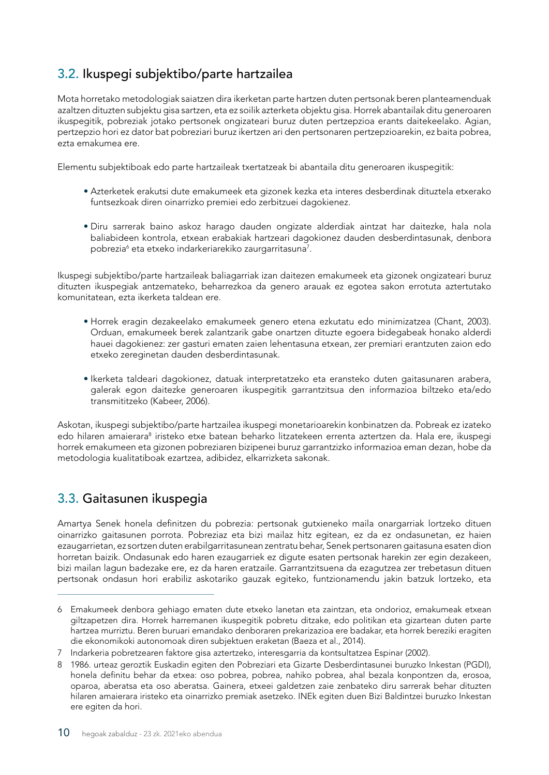#### <span id="page-11-0"></span>3.2. Ikuspegi subjektibo/parte hartzailea

Mota horretako metodologiak saiatzen dira ikerketan parte hartzen duten pertsonak beren planteamenduak azaltzen dituzten subjektu gisa sartzen, eta ez soilik azterketa objektu gisa. Horrek abantailak ditu generoaren ikuspegitik, pobreziak jotako pertsonek ongizateari buruz duten pertzepzioa erants daitekeelako. Agian, pertzepzio hori ez dator bat pobreziari buruz ikertzen ari den pertsonaren pertzepzioarekin, ez baita pobrea, ezta emakumea ere.

Elementu subjektiboak edo parte hartzaileak txertatzeak bi abantaila ditu generoaren ikuspegitik:

- Azterketek erakutsi dute emakumeek eta gizonek kezka eta interes desberdinak dituztela etxerako funtsezkoak diren oinarrizko premiei edo zerbitzuei dagokienez.
- Diru sarrerak baino askoz harago dauden ongizate alderdiak aintzat har daitezke, hala nola baliabideen kontrola, etxean erabakiak hartzeari dagokionez dauden desberdintasunak, denbora pobrezia<sup>6</sup> eta etxeko indarkeriarekiko zaurgarritasuna<sup>7</sup>.

Ikuspegi subjektibo/parte hartzaileak baliagarriak izan daitezen emakumeek eta gizonek ongizateari buruz dituzten ikuspegiak antzemateko, beharrezkoa da genero arauak ez egotea sakon errotuta aztertutako komunitatean, ezta ikerketa taldean ere.

- Horrek eragin dezakeelako emakumeek genero etena ezkutatu edo minimizatzea (Chant, 2003). Orduan, emakumeek berek zalantzarik gabe onartzen dituzte egoera bidegabeak honako alderdi hauei dagokienez: zer gasturi ematen zaien lehentasuna etxean, zer premiari erantzuten zaion edo etxeko zereginetan dauden desberdintasunak.
- Ikerketa taldeari dagokionez, datuak interpretatzeko eta eransteko duten gaitasunaren arabera, galerak egon daitezke generoaren ikuspegitik garrantzitsua den informazioa biltzeko eta/edo transmititzeko (Kabeer, 2006).

Askotan, ikuspegi subjektibo/parte hartzailea ikuspegi monetarioarekin konbinatzen da. Pobreak ez izateko edo hilaren amaierara<sup>8</sup> iristeko etxe batean beharko litzatekeen errenta aztertzen da. Hala ere, ikuspegi horrek emakumeen eta gizonen pobreziaren bizipenei buruz garrantzizko informazioa eman dezan, hobe da metodologia kualitatiboak ezartzea, adibidez, elkarrizketa sakonak.

#### 3.3. Gaitasunen ikuspegia

Amartya Senek honela definitzen du pobrezia: pertsonak gutxieneko maila onargarriak lortzeko dituen oinarrizko gaitasunen porrota. Pobreziaz eta bizi mailaz hitz egitean, ez da ez ondasunetan, ez haien ezaugarrietan, ez sortzen duten erabilgarritasunean zentratu behar, Senek pertsonaren gaitasuna esaten dion horretan baizik. Ondasunak edo haren ezaugarriek ez digute esaten pertsonak harekin zer egin dezakeen, bizi mailan lagun badezake ere, ez da haren eratzaile. Garrantzitsuena da ezagutzea zer trebetasun dituen pertsonak ondasun hori erabiliz askotariko gauzak egiteko, funtzionamendu jakin batzuk lortzeko, eta

<sup>6</sup> Emakumeek denbora gehiago ematen dute etxeko lanetan eta zaintzan, eta ondorioz, emakumeak etxean giltzapetzen dira. Horrek harremanen ikuspegitik pobretu ditzake, edo politikan eta gizartean duten parte hartzea murriztu. Beren buruari emandako denboraren prekarizazioa ere badakar, eta horrek bereziki eragiten die ekonomikoki autonomoak diren subjektuen eraketan (Baeza et al., 2014).

<sup>7</sup> Indarkeria pobretzearen faktore gisa aztertzeko, interesgarria da kontsultatzea Espinar (2002).

<sup>8 1986.</sup> urteaz geroztik Euskadin egiten den Pobreziari eta Gizarte Desberdintasunei buruzko Inkestan (PGDI), honela definitu behar da etxea: oso pobrea, pobrea, nahiko pobrea, ahal bezala konpontzen da, erosoa, oparoa, aberatsa eta oso aberatsa. Gainera, etxeei galdetzen zaie zenbateko diru sarrerak behar dituzten hilaren amaierara iristeko eta oinarrizko premiak asetzeko. INEk egiten duen Bizi Baldintzei buruzko Inkestan ere egiten da hori.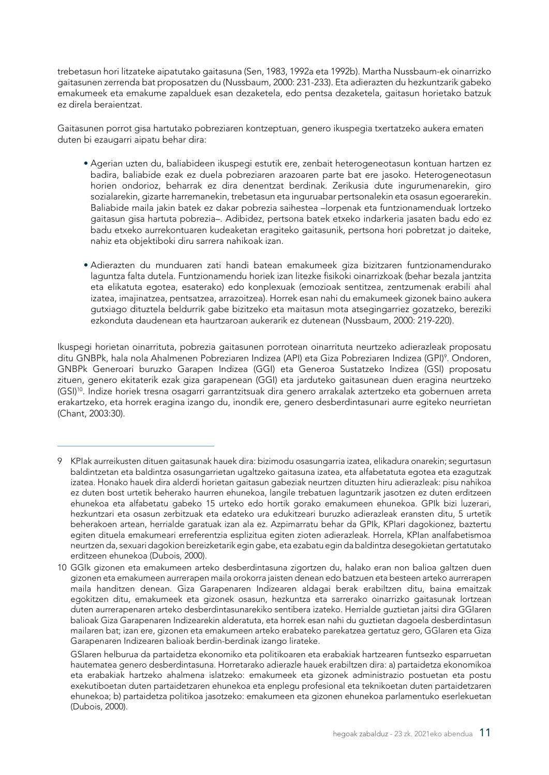trebetasun hori litzateke aipatutako gaitasuna (Sen, 1983, 1992a eta 1992b). Martha Nussbaum-ek oinarrizko gaitasunen zerrenda bat proposatzen du (Nussbaum, 2000: 231-233). Eta adierazten du hezkuntzarik gabeko emakumeek eta emakume zapalduek esan dezaketela, edo pentsa dezaketela, gaitasun horietako batzuk ez direla beraientzat.

Gaitasunen porrot gisa hartutako pobreziaren kontzeptuan, genero ikuspegia txertatzeko aukera ematen duten bi ezaugarri aipatu behar dira:

- Agerian uzten du, baliabideen ikuspegi estutik ere, zenbait heterogeneotasun kontuan hartzen ez badira, baliabide ezak ez duela pobreziaren arazoaren parte bat ere jasoko. Heterogeneotasun horien ondorioz, beharrak ez dira denentzat berdinak. Zerikusia dute ingurumenarekin, giro sozialarekin, gizarte harremanekin, trebetasun eta inguruabar pertsonalekin eta osasun egoerarekin. Baliabide maila jakin batek ez dakar pobrezia saihestea –lorpenak eta funtzionamenduak lortzeko gaitasun gisa hartuta pobrezia–. Adibidez, pertsona batek etxeko indarkeria jasaten badu edo ez badu etxeko aurrekontuaren kudeaketan eragiteko gaitasunik, pertsona hori pobretzat jo daiteke, nahiz eta objektiboki diru sarrera nahikoak izan.
- Adierazten du munduaren zati handi batean emakumeek giza bizitzaren funtzionamendurako laguntza falta dutela. Funtzionamendu horiek izan litezke fisikoki oinarrizkoak (behar bezala jantzita eta elikatuta egotea, esaterako) edo konplexuak (emozioak sentitzea, zentzumenak erabili ahal izatea, imajinatzea, pentsatzea, arrazoitzea). Horrek esan nahi du emakumeek gizonek baino aukera gutxiago dituztela beldurrik gabe bizitzeko eta maitasun mota atsegingarriez gozatzeko, bereziki ezkonduta daudenean eta haurtzaroan aukerarik ez dutenean (Nussbaum, 2000: 219-220).

Ikuspegi horietan oinarrituta, pobrezia gaitasunen porrotean oinarrituta neurtzeko adierazleak proposatu ditu GNBPk, hala nola Ahalmenen Pobreziaren Indizea (API) eta Giza Pobreziaren Indizea (GPI)º. Ondoren, GNBPk Generoari buruzko Garapen Indizea (GGI) eta Generoa Sustatzeko Indizea (GSI) proposatu zituen, genero ekitaterik ezak giza garapenean (GGI) eta jarduteko gaitasunean duen eragina neurtzeko (GSI)10. Indize horiek tresna osagarri garrantzitsuak dira genero arrakalak aztertzeko eta gobernuen arreta erakartzeko, eta horrek eragina izango du, inondik ere, genero desberdintasunari aurre egiteko neurrietan (Chant, 2003:30).

<sup>9</sup> KPIak aurreikusten dituen gaitasunak hauek dira: bizimodu osasungarria izatea, elikadura onarekin; segurtasun baldintzetan eta baldintza osasungarrietan ugaltzeko gaitasuna izatea, eta alfabetatuta egotea eta ezagutzak izatea. Honako hauek dira alderdi horietan gaitasun gabeziak neurtzen dituzten hiru adierazleak: pisu nahikoa ez duten bost urtetik beherako haurren ehunekoa, langile trebatuen laguntzarik jasotzen ez duten erditzeen ehunekoa eta alfabetatu gabeko 15 urteko edo hortik gorako emakumeen ehunekoa. GPIk bizi luzerari, hezkuntzari eta osasun zerbitzuak eta edateko ura edukitzeari buruzko adierazleak eransten ditu, 5 urtetik beherakoen artean, herrialde garatuak izan ala ez. Azpimarratu behar da GPIk, KPIari dagokionez, baztertu egiten dituela emakumeari erreferentzia esplizitua egiten zioten adierazleak. Horrela, KPIan analfabetismoa neurtzen da, sexuari dagokion bereizketarik egin gabe, eta ezabatu egin da baldintza desegokietan gertatutako erditzeen ehunekoa (Dubois, 2000).

<sup>10</sup> GGIk gizonen eta emakumeen arteko desberdintasuna zigortzen du, halako eran non balioa galtzen duen gizonen eta emakumeen aurrerapen maila orokorra jaisten denean edo batzuen eta besteen arteko aurrerapen maila handitzen denean. Giza Garapenaren Indizearen aldagai berak erabiltzen ditu, baina emaitzak egokitzen ditu, emakumeek eta gizonek osasun, hezkuntza eta sarrerako oinarrizko gaitasunak lortzean duten aurrerapenaren arteko desberdintasunarekiko sentibera izateko. Herrialde guztietan jaitsi dira GGIaren balioak Giza Garapenaren Indizearekin alderatuta, eta horrek esan nahi du guztietan dagoela desberdintasun mailaren bat; izan ere, gizonen eta emakumeen arteko erabateko parekatzea gertatuz gero, GGIaren eta Giza Garapenaren Indizearen balioak berdin-berdinak izango lirateke.

GSIaren helburua da partaidetza ekonomiko eta politikoaren eta erabakiak hartzearen funtsezko esparruetan hautematea genero desberdintasuna. Horretarako adierazle hauek erabiltzen dira: a) partaidetza ekonomikoa eta erabakiak hartzeko ahalmena islatzeko: emakumeek eta gizonek administrazio postuetan eta postu exekutiboetan duten partaidetzaren ehunekoa eta enplegu profesional eta teknikoetan duten partaidetzaren ehunekoa; b) partaidetza politikoa jasotzeko: emakumeen eta gizonen ehunekoa parlamentuko eserlekuetan (Dubois, 2000).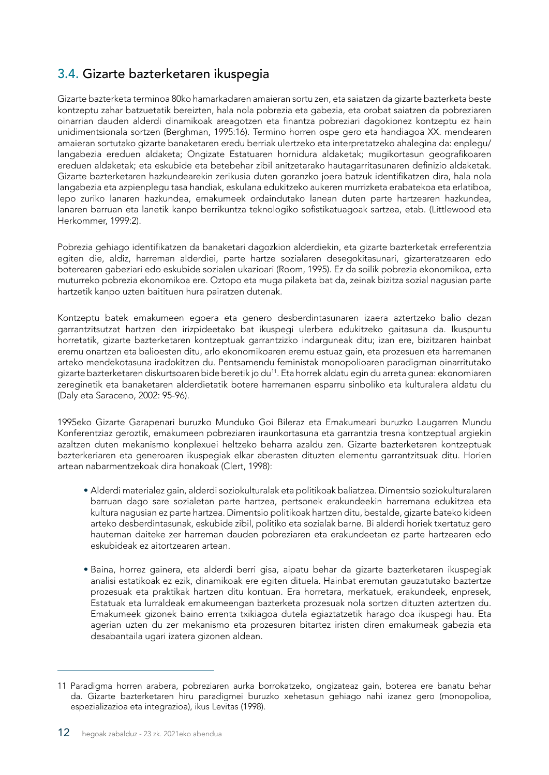#### <span id="page-13-0"></span>3.4. Gizarte bazterketaren ikuspegia

Gizarte bazterketa terminoa 80ko hamarkadaren amaieran sortu zen, eta saiatzen da gizarte bazterketa beste kontzeptu zahar batzuetatik bereizten, hala nola pobrezia eta gabezia, eta orobat saiatzen da pobreziaren oinarrian dauden alderdi dinamikoak areagotzen eta finantza pobreziari dagokionez kontzeptu ez hain unidimentsionala sortzen (Berghman, 1995:16). Termino horren ospe gero eta handiagoa XX. mendearen amaieran sortutako gizarte banaketaren eredu berriak ulertzeko eta interpretatzeko ahalegina da: enplegu/ langabezia ereduen aldaketa; Ongizate Estatuaren hornidura aldaketak; mugikortasun geografikoaren ereduen aldaketak; eta eskubide eta betebehar zibil anitzetarako hautagarritasunaren definizio aldaketak. Gizarte bazterketaren hazkundearekin zerikusia duten goranzko joera batzuk identifikatzen dira, hala nola langabezia eta azpienplegu tasa handiak, eskulana edukitzeko aukeren murrizketa erabatekoa eta erlatiboa, lepo zuriko lanaren hazkundea, emakumeek ordaindutako lanean duten parte hartzearen hazkundea, lanaren barruan eta lanetik kanpo berrikuntza teknologiko sofistikatuagoak sartzea, etab. (Littlewood eta Herkommer, 1999:2).

Pobrezia gehiago identifikatzen da banaketari dagozkion alderdiekin, eta gizarte bazterketak erreferentzia egiten die, aldiz, harreman alderdiei, parte hartze sozialaren desegokitasunari, gizarteratzearen edo boterearen gabeziari edo eskubide sozialen ukazioari (Room, 1995). Ez da soilik pobrezia ekonomikoa, ezta muturreko pobrezia ekonomikoa ere. Oztopo eta muga pilaketa bat da, zeinak bizitza sozial nagusian parte hartzetik kanpo uzten baitituen hura pairatzen dutenak.

Kontzeptu batek emakumeen egoera eta genero desberdintasunaren izaera aztertzeko balio dezan garrantzitsutzat hartzen den irizpideetako bat ikuspegi ulerbera edukitzeko gaitasuna da. Ikuspuntu horretatik, gizarte bazterketaren kontzeptuak garrantzizko indarguneak ditu; izan ere, bizitzaren hainbat eremu onartzen eta balioesten ditu, arlo ekonomikoaren eremu estuaz gain, eta prozesuen eta harremanen arteko mendekotasuna iradokitzen du. Pentsamendu feministak monopolioaren paradigman oinarritutako gizarte bazterketaren diskurtsoaren bide beretik jo du<sup>11</sup>. Eta horrek aldatu egin du arreta gunea: ekonomiaren zereginetik eta banaketaren alderdietatik botere harremanen esparru sinboliko eta kulturalera aldatu du (Daly eta Saraceno, 2002: 95-96).

1995eko Gizarte Garapenari buruzko Munduko Goi Bileraz eta Emakumeari buruzko Laugarren Mundu Konferentziaz geroztik, emakumeen pobreziaren iraunkortasuna eta garrantzia tresna kontzeptual argiekin azaltzen duten mekanismo konplexuei heltzeko beharra azaldu zen. Gizarte bazterketaren kontzeptuak bazterkeriaren eta generoaren ikuspegiak elkar aberasten dituzten elementu garrantzitsuak ditu. Horien artean nabarmentzekoak dira honakoak (Clert, 1998):

- Alderdi materialez gain, alderdi soziokulturalak eta politikoak baliatzea. Dimentsio soziokulturalaren barruan dago sare sozialetan parte hartzea, pertsonek erakundeekin harremana edukitzea eta kultura nagusian ez parte hartzea. Dimentsio politikoak hartzen ditu, bestalde, gizarte bateko kideen arteko desberdintasunak, eskubide zibil, politiko eta sozialak barne. Bi alderdi horiek txertatuz gero hauteman daiteke zer harreman dauden pobreziaren eta erakundeetan ez parte hartzearen edo eskubideak ez aitortzearen artean.
- Baina, horrez gainera, eta alderdi berri gisa, aipatu behar da gizarte bazterketaren ikuspegiak analisi estatikoak ez ezik, dinamikoak ere egiten dituela. Hainbat eremutan gauzatutako baztertze prozesuak eta praktikak hartzen ditu kontuan. Era horretara, merkatuek, erakundeek, enpresek, Estatuak eta lurraldeak emakumeengan bazterketa prozesuak nola sortzen dituzten aztertzen du. Emakumeek gizonek baino errenta txikiagoa dutela egiaztatzetik harago doa ikuspegi hau. Eta agerian uzten du zer mekanismo eta prozesuren bitartez iristen diren emakumeak gabezia eta desabantaila ugari izatera gizonen aldean.

<sup>11</sup> Paradigma horren arabera, pobreziaren aurka borrokatzeko, ongizateaz gain, boterea ere banatu behar da. Gizarte bazterketaren hiru paradigmei buruzko xehetasun gehiago nahi izanez gero (monopolioa, espezializazioa eta integrazioa), ikus Levitas (1998).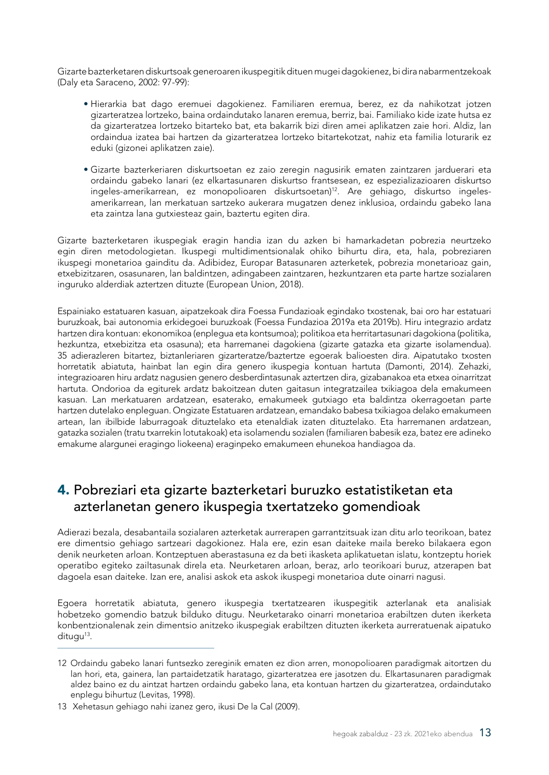<span id="page-14-0"></span>Gizarte bazterketaren diskurtsoak generoaren ikuspegitik dituen mugei dagokienez, bi dira nabarmentzekoak (Daly eta Saraceno, 2002: 97-99):

- Hierarkia bat dago eremuei dagokienez. Familiaren eremua, berez, ez da nahikotzat jotzen gizarteratzea lortzeko, baina ordaindutako lanaren eremua, berriz, bai. Familiako kide izate hutsa ez da gizarteratzea lortzeko bitarteko bat, eta bakarrik bizi diren amei aplikatzen zaie hori. Aldiz, lan ordaindua izatea bai hartzen da gizarteratzea lortzeko bitartekotzat, nahiz eta familia loturarik ez eduki (gizonei aplikatzen zaie).
- Gizarte bazterkeriaren diskurtsoetan ez zaio zeregin nagusirik ematen zaintzaren jarduerari eta ordaindu gabeko lanari (ez elkartasunaren diskurtso frantsesean, ez espezializazioaren diskurtso ingeles-amerikarrean, ez monopolioaren diskurtsoetan)12. Are gehiago, diskurtso ingelesamerikarrean, lan merkatuan sartzeko aukerara mugatzen denez inklusioa, ordaindu gabeko lana eta zaintza lana gutxiesteaz gain, baztertu egiten dira.

Gizarte bazterketaren ikuspegiak eragin handia izan du azken bi hamarkadetan pobrezia neurtzeko egin diren metodologietan. Ikuspegi multidimentsionalak ohiko bihurtu dira, eta, hala, pobreziaren ikuspegi monetarioa gainditu da. Adibidez, Europar Batasunaren azterketek, pobrezia monetarioaz gain, etxebizitzaren, osasunaren, lan baldintzen, adingabeen zaintzaren, hezkuntzaren eta parte hartze sozialaren inguruko alderdiak aztertzen dituzte (European Union, 2018).

Espainiako estatuaren kasuan, aipatzekoak dira Foessa Fundazioak egindako txostenak, bai oro har estatuari buruzkoak, bai autonomia erkidegoei buruzkoak (Foessa Fundazioa 2019a eta 2019b). Hiru integrazio ardatz hartzen dira kontuan: ekonomikoa (enplegua eta kontsumoa); politikoa eta herritartasunari dagokiona (politika, hezkuntza, etxebizitza eta osasuna); eta harremanei dagokiena (gizarte gatazka eta gizarte isolamendua). 35 adierazleren bitartez, biztanleriaren gizarteratze/baztertze egoerak balioesten dira. Aipatutako txosten horretatik abiatuta, hainbat lan egin dira genero ikuspegia kontuan hartuta (Damonti, 2014). Zehazki, integrazioaren hiru ardatz nagusien genero desberdintasunak aztertzen dira, gizabanakoa eta etxea oinarritzat hartuta. Ondorioa da egiturek ardatz bakoitzean duten gaitasun integratzailea txikiagoa dela emakumeen kasuan. Lan merkatuaren ardatzean, esaterako, emakumeek gutxiago eta baldintza okerragoetan parte hartzen dutelako enpleguan. Ongizate Estatuaren ardatzean, emandako babesa txikiagoa delako emakumeen artean, lan ibilbide laburragoak dituztelako eta etenaldiak izaten dituztelako. Eta harremanen ardatzean, gatazka sozialen (tratu txarrekin lotutakoak) eta isolamendu sozialen (familiaren babesik eza, batez ere adineko emakume alargunei eragingo liokeena) eraginpeko emakumeen ehunekoa handiagoa da.

#### 4. Pobreziari eta gizarte bazterketari buruzko estatistiketan eta azterlanetan genero ikuspegia txertatzeko gomendioak

Adierazi bezala, desabantaila sozialaren azterketak aurrerapen garrantzitsuak izan ditu arlo teorikoan, batez ere dimentsio gehiago sartzeari dagokionez. Hala ere, ezin esan daiteke maila bereko bilakaera egon denik neurketen arloan. Kontzeptuen aberastasuna ez da beti ikasketa aplikatuetan islatu, kontzeptu horiek operatibo egiteko zailtasunak direla eta. Neurketaren arloan, beraz, arlo teorikoari buruz, atzerapen bat dagoela esan daiteke. Izan ere, analisi askok eta askok ikuspegi monetarioa dute oinarri nagusi.

Egoera horretatik abiatuta, genero ikuspegia txertatzearen ikuspegitik azterlanak eta analisiak hobetzeko gomendio batzuk bilduko ditugu. Neurketarako oinarri monetarioa erabiltzen duten ikerketa konbentzionalenak zein dimentsio anitzeko ikuspegiak erabiltzen dituzten ikerketa aurreratuenak aipatuko ditugu<sup>13</sup>.

<sup>12</sup> Ordaindu gabeko lanari funtsezko zereginik ematen ez dion arren, monopolioaren paradigmak aitortzen du lan hori, eta, gainera, lan partaidetzatik haratago, gizarteratzea ere jasotzen du. Elkartasunaren paradigmak aldez baino ez du aintzat hartzen ordaindu gabeko lana, eta kontuan hartzen du gizarteratzea, ordaindutako enplegu bihurtuz (Levitas, 1998).

<sup>13</sup> Xehetasun gehiago nahi izanez gero, ikusi De la Cal (2009).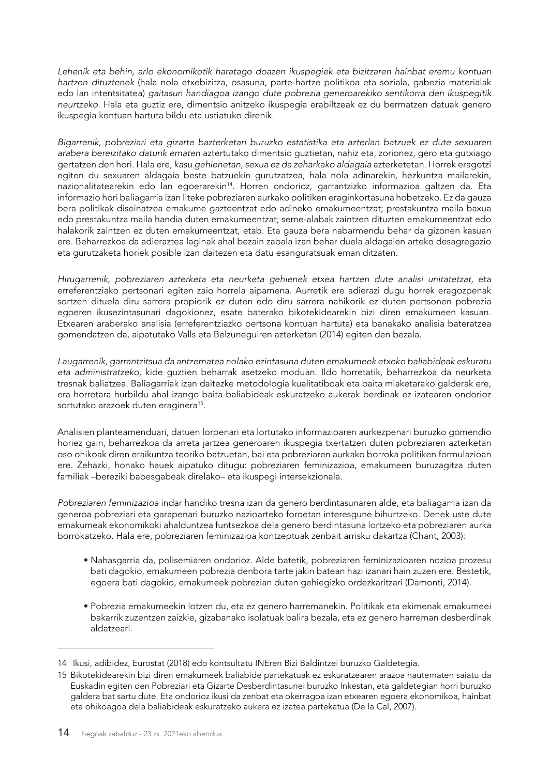*Lehenik eta behin, arlo ekonomikotik haratago doazen ikuspegiek eta bizitzaren hainbat eremu kontuan hartzen dituztenek* (hala nola etxebizitza, osasuna, parte-hartze politikoa eta soziala, gabezia materialak edo lan intentsitatea) *gaitasun handiagoa izango dute pobrezia generoarekiko sentikorra den ikuspegitik neurtzeko.* Hala eta guztiz ere, dimentsio anitzeko ikuspegia erabiltzeak ez du bermatzen datuak genero ikuspegia kontuan hartuta bildu eta ustiatuko direnik.

*Bigarrenik, pobreziari eta gizarte bazterketari buruzko estatistika eta azterlan batzuek ez dute sexuaren arabera bereizitako daturik ematen* aztertutako dimentsio guztietan, nahiz eta, zorionez, gero eta gutxiago gertatzen den hori. Hala ere, *kasu gehienetan, sexua ez da zeharkako aldagaia* azterketetan. Horrek eragotzi egiten du sexuaren aldagaia beste batzuekin gurutzatzea, hala nola adinarekin, hezkuntza mailarekin, nazionalitatearekin edo lan egoerarekin14. Horren ondorioz, garrantzizko informazioa galtzen da. Eta informazio hori baliagarria izan liteke pobreziaren aurkako politiken eraginkortasuna hobetzeko. Ez da gauza bera politikak diseinatzea emakume gazteentzat edo adineko emakumeentzat; prestakuntza maila baxua edo prestakuntza maila handia duten emakumeentzat; seme-alabak zaintzen dituzten emakumeentzat edo halakorik zaintzen ez duten emakumeentzat, etab. Eta gauza bera nabarmendu behar da gizonen kasuan ere. Beharrezkoa da adieraztea laginak ahal bezain zabala izan behar duela aldagaien arteko desagregazio eta gurutzaketa horiek posible izan daitezen eta datu esanguratsuak eman ditzaten.

*Hirugarrenik, pobreziaren azterketa eta neurketa gehienek etxea hartzen dute analisi unitatetzat,* eta erreferentziako pertsonari egiten zaio horrela aipamena. Aurretik ere adierazi dugu horrek eragozpenak sortzen dituela diru sarrera propiorik ez duten edo diru sarrera nahikorik ez duten pertsonen pobrezia egoeren ikusezintasunari dagokionez, esate baterako bikotekidearekin bizi diren emakumeen kasuan. Etxearen araberako analisia (erreferentziazko pertsona kontuan hartuta) eta banakako analisia bateratzea gomendatzen da, aipatutako Valls eta Belzuneguiren azterketan (2014) egiten den bezala.

*Laugarrenik, garrantzitsua da antzematea nolako ezintasuna duten emakumeek etxeko baliabideak eskuratu eta administratzeko,* kide guztien beharrak asetzeko moduan. Ildo horretatik, beharrezkoa da neurketa tresnak baliatzea. Baliagarriak izan daitezke metodologia kualitatiboak eta baita miaketarako galderak ere, era horretara hurbildu ahal izango baita baliabideak eskuratzeko aukerak berdinak ez izatearen ondorioz sortutako arazoek duten eraginera<sup>15</sup>.

Analisien planteamenduari, datuen lorpenari eta lortutako informazioaren aurkezpenari buruzko gomendio horiez gain, beharrezkoa da arreta jartzea generoaren ikuspegia txertatzen duten pobreziaren azterketan oso ohikoak diren eraikuntza teoriko batzuetan, bai eta pobreziaren aurkako borroka politiken formulazioan ere. Zehazki, honako hauek aipatuko ditugu: pobreziaren feminizazioa, emakumeen buruzagitza duten familiak –bereziki babesgabeak direlako– eta ikuspegi intersekzionala.

*Pobreziaren feminizazioa* indar handiko tresna izan da genero berdintasunaren alde, eta baliagarria izan da generoa pobreziari eta garapenari buruzko nazioarteko foroetan interesgune bihurtzeko. Denek uste dute emakumeak ekonomikoki ahalduntzea funtsezkoa dela genero berdintasuna lortzeko eta pobreziaren aurka borrokatzeko. Hala ere, pobreziaren feminizazioa kontzeptuak zenbait arrisku dakartza (Chant, 2003):

- Nahasgarria da, polisemiaren ondorioz. Alde batetik, pobreziaren feminizazioaren nozioa prozesu bati dagokio, emakumeen pobrezia denbora tarte jakin batean hazi izanari hain zuzen ere. Bestetik, egoera bati dagokio, emakumeek pobrezian duten gehiegizko ordezkaritzari (Damonti, 2014).
- Pobrezia emakumeekin lotzen du, eta ez genero harremanekin. Politikak eta ekimenak emakumeei bakarrik zuzentzen zaizkie, gizabanako isolatuak balira bezala, eta ez genero harreman desberdinak aldatzeari.

<sup>14</sup> Ikusi, adibidez, Eurostat (2018) edo kontsultatu INEren Bizi Baldintzei buruzko Galdetegia.

<sup>15</sup> Bikotekidearekin bizi diren emakumeek baliabide partekatuak ez eskuratzearen arazoa hautematen saiatu da Euskadin egiten den Pobreziari eta Gizarte Desberdintasunei buruzko Inkestan, eta galdetegian horri buruzko galdera bat sartu dute. Eta ondorioz ikusi da zenbat eta okerragoa izan etxearen egoera ekonomikoa, hainbat eta ohikoagoa dela baliabideak eskuratzeko aukera ez izatea partekatua (De la Cal, 2007).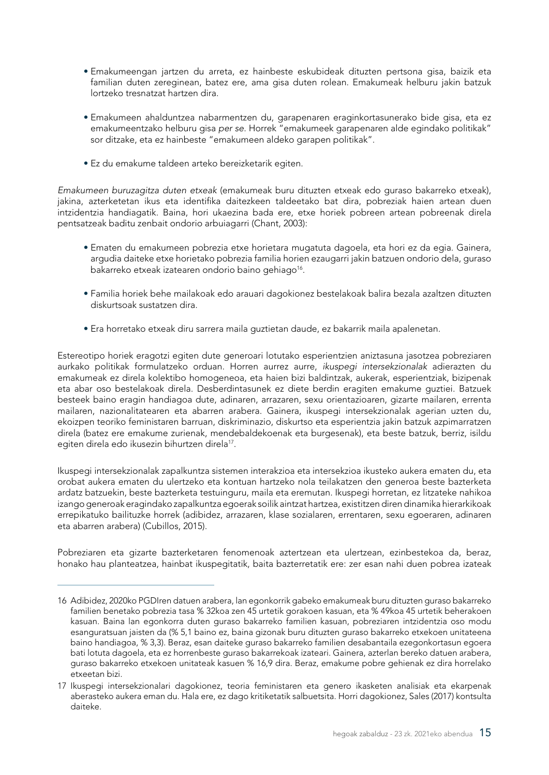- Emakumeengan jartzen du arreta, ez hainbeste eskubideak dituzten pertsona gisa, baizik eta familian duten zereginean, batez ere, ama gisa duten rolean. Emakumeak helburu jakin batzuk lortzeko tresnatzat hartzen dira.
- Emakumeen ahalduntzea nabarmentzen du, garapenaren eraginkortasunerako bide gisa, eta ez emakumeentzako helburu gisa *per se*. Horrek "emakumeek garapenaren alde egindako politikak" sor ditzake, eta ez hainbeste "emakumeen aldeko garapen politikak".
- Ez du emakume taldeen arteko bereizketarik egiten.

*Emakumeen buruzagitza duten etxeak* (emakumeak buru dituzten etxeak edo guraso bakarreko etxeak), jakina, azterketetan ikus eta identifika daitezkeen taldeetako bat dira, pobreziak haien artean duen intzidentzia handiagatik. Baina, hori ukaezina bada ere, etxe horiek pobreen artean pobreenak direla pentsatzeak baditu zenbait ondorio arbuiagarri (Chant, 2003):

- Ematen du emakumeen pobrezia etxe horietara mugatuta dagoela, eta hori ez da egia. Gainera, argudia daiteke etxe horietako pobrezia familia horien ezaugarri jakin batzuen ondorio dela, guraso bakarreko etxeak izatearen ondorio baino gehiago<sup>16</sup>.
- Familia horiek behe mailakoak edo arauari dagokionez bestelakoak balira bezala azaltzen dituzten diskurtsoak sustatzen dira.
- Era horretako etxeak diru sarrera maila guztietan daude, ez bakarrik maila apalenetan.

Estereotipo horiek eragotzi egiten dute generoari lotutako esperientzien aniztasuna jasotzea pobreziaren aurkako politikak formulatzeko orduan. Horren aurrez aurre, *ikuspegi intersekzionalak* adierazten du emakumeak ez direla kolektibo homogeneoa, eta haien bizi baldintzak, aukerak, esperientziak, bizipenak eta abar oso bestelakoak direla. Desberdintasunek ez diete berdin eragiten emakume guztiei. Batzuek besteek baino eragin handiagoa dute, adinaren, arrazaren, sexu orientazioaren, gizarte mailaren, errenta mailaren, nazionalitatearen eta abarren arabera. Gainera, ikuspegi intersekzionalak agerian uzten du, ekoizpen teoriko feministaren barruan, diskriminazio, diskurtso eta esperientzia jakin batzuk azpimarratzen direla (batez ere emakume zurienak, mendebaldekoenak eta burgesenak), eta beste batzuk, berriz, isildu egiten direla edo ikusezin bihurtzen direla<sup>17</sup>.

Ikuspegi intersekzionalak zapalkuntza sistemen interakzioa eta intersekzioa ikusteko aukera ematen du, eta orobat aukera ematen du ulertzeko eta kontuan hartzeko nola teilakatzen den generoa beste bazterketa ardatz batzuekin, beste bazterketa testuinguru, maila eta eremutan. Ikuspegi horretan, ez litzateke nahikoa izango generoak eragindako zapalkuntza egoerak soilik aintzat hartzea, existitzen diren dinamika hierarkikoak errepikatuko bailituzke horrek (adibidez, arrazaren, klase sozialaren, errentaren, sexu egoeraren, adinaren eta abarren arabera) (Cubillos, 2015).

Pobreziaren eta gizarte bazterketaren fenomenoak aztertzean eta ulertzean, ezinbestekoa da, beraz, honako hau planteatzea, hainbat ikuspegitatik, baita bazterretatik ere: zer esan nahi duen pobrea izateak

<sup>16</sup> Adibidez, 2020ko PGDIren datuen arabera, lan egonkorrik gabeko emakumeak buru dituzten guraso bakarreko familien benetako pobrezia tasa % 32koa zen 45 urtetik gorakoen kasuan, eta % 49koa 45 urtetik beherakoen kasuan. Baina lan egonkorra duten guraso bakarreko familien kasuan, pobreziaren intzidentzia oso modu esanguratsuan jaisten da (% 5,1 baino ez, baina gizonak buru dituzten guraso bakarreko etxekoen unitateena baino handiagoa, % 3,3). Beraz, esan daiteke guraso bakarreko familien desabantaila ezegonkortasun egoera bati lotuta dagoela, eta ez horrenbeste guraso bakarrekoak izateari. Gainera, azterlan bereko datuen arabera, guraso bakarreko etxekoen unitateak kasuen % 16,9 dira. Beraz, emakume pobre gehienak ez dira horrelako etxeetan bizi.

<sup>17</sup> Ikuspegi intersekzionalari dagokionez, teoria feministaren eta genero ikasketen analisiak eta ekarpenak aberasteko aukera eman du. Hala ere, ez dago kritiketatik salbuetsita. Horri dagokionez, Sales (2017) kontsulta daiteke.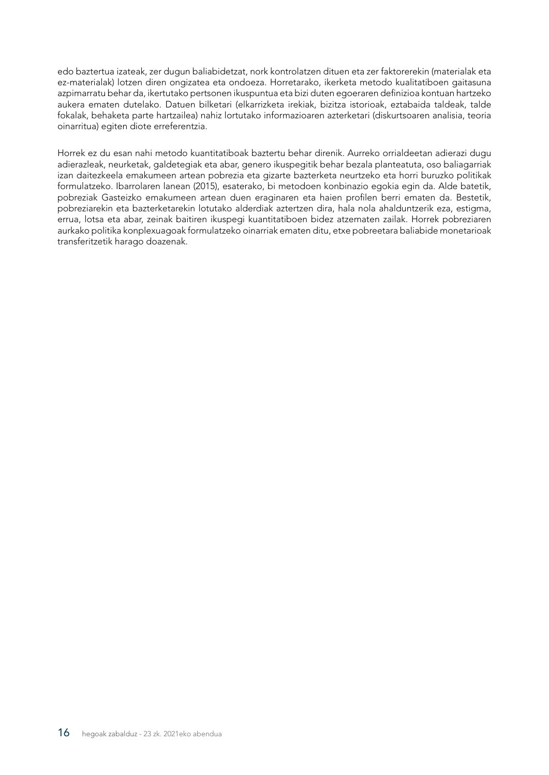edo baztertua izateak, zer dugun baliabidetzat, nork kontrolatzen dituen eta zer faktorerekin (materialak eta ez-materialak) lotzen diren ongizatea eta ondoeza. Horretarako, ikerketa metodo kualitatiboen gaitasuna azpimarratu behar da, ikertutako pertsonen ikuspuntua eta bizi duten egoeraren definizioa kontuan hartzeko aukera ematen dutelako. Datuen bilketari (elkarrizketa irekiak, bizitza istorioak, eztabaida taldeak, talde fokalak, behaketa parte hartzailea) nahiz lortutako informazioaren azterketari (diskurtsoaren analisia, teoria oinarritua) egiten diote erreferentzia.

Horrek ez du esan nahi metodo kuantitatiboak baztertu behar direnik. Aurreko orrialdeetan adierazi dugu adierazleak, neurketak, galdetegiak eta abar, genero ikuspegitik behar bezala planteatuta, oso baliagarriak izan daitezkeela emakumeen artean pobrezia eta gizarte bazterketa neurtzeko eta horri buruzko politikak formulatzeko. Ibarrolaren lanean (2015), esaterako, bi metodoen konbinazio egokia egin da. Alde batetik, pobreziak Gasteizko emakumeen artean duen eraginaren eta haien profilen berri ematen da. Bestetik, pobreziarekin eta bazterketarekin lotutako alderdiak aztertzen dira, hala nola ahalduntzerik eza, estigma, errua, lotsa eta abar, zeinak baitiren ikuspegi kuantitatiboen bidez atzematen zailak. Horrek pobreziaren aurkako politika konplexuagoak formulatzeko oinarriak ematen ditu, etxe pobreetara baliabide monetarioak transferitzetik harago doazenak.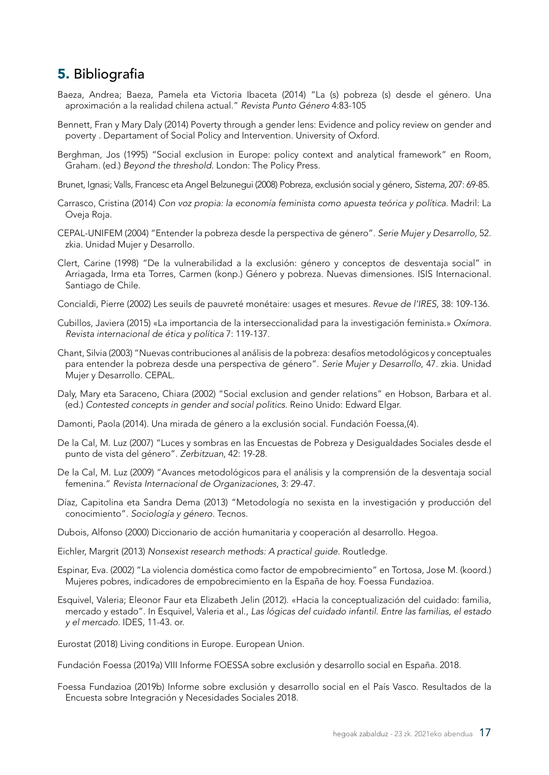#### <span id="page-18-0"></span>5. Bibliografia

- Baeza, Andrea; Baeza, Pamela eta Victoria Ibaceta (2014) "La (s) pobreza (s) desde el género. Una aproximación a la realidad chilena actual." *Revista Punto Género* 4:83-105
- Bennett, Fran y Mary Daly (2014) Poverty through a gender lens: Evidence and policy review on gender and poverty . Departament of Social Policy and Intervention. University of Oxford.
- Berghman, Jos (1995) "Social exclusion in Europe: policy context and analytical framework" en Room, Graham. (ed.) *Beyond the threshold*. London: The Policy Press.
- Brunet, Ignasi; Valls, Francesc eta Angel Belzunegui (2008) Pobreza, exclusión social y género, *Sistema,* 207: 69-85.
- Carrasco, Cristina (2014) *Con voz propia: la economía feminista como apuesta teórica y política*. Madril: La Oveja Roja.
- CEPAL-UNIFEM (2004) "Entender la pobreza desde la perspectiva de género". *Serie Mujer y Desarrollo*, 52. zkia. Unidad Mujer y Desarrollo.
- Clert, Carine (1998) "De la vulnerabilidad a la exclusión: género y conceptos de desventaja social" in Arriagada, Irma eta Torres, Carmen (konp.) Género y pobreza. Nuevas dimensiones. ISIS Internacional. Santiago de Chile.
- Concialdi, Pierre (2002) Les seuils de pauvreté monétaire: usages et mesures. *Revue de l'IRES,* 38: 109-136.
- Cubillos, Javiera (2015) «La importancia de la interseccionalidad para la investigación feminista.» *Oxímora. Revista internacional de ética y política* 7: 119-137.
- Chant, Silvia (2003) "Nuevas contribuciones al análisis de la pobreza: desafíos metodológicos y conceptuales para entender la pobreza desde una perspectiva de género". *Serie Mujer y Desarrollo*, 47. zkia. Unidad Mujer y Desarrollo. CEPAL.
- Daly, Mary eta Saraceno, Chiara (2002) "Social exclusion and gender relations" en Hobson, Barbara et al. (ed.) *Contested concepts in gender and social politics.* Reino Unido: Edward Elgar.
- Damonti, Paola (2014). Una mirada de género a la exclusión social. Fundación Foessa,(4).
- De la Cal, M. Luz (2007) "Luces y sombras en las Encuestas de Pobreza y Desigualdades Sociales desde el punto de vista del género". *Zerbitzuan*, 42: 19-28.
- De la Cal, M. Luz (2009) "Avances metodológicos para el análisis y la comprensión de la desventaja social femenina." *Revista Internacional de Organizaciones*, 3: 29-47.
- Díaz, Capitolina eta Sandra Dema (2013) "Metodología no sexista en la investigación y producción del conocimiento". *Sociología y género*. Tecnos.
- Dubois, Alfonso (2000) Diccionario de acción humanitaria y cooperación al desarrollo. Hegoa.
- Eichler, Margrit (2013) *Nonsexist research methods: A practical guide*. Routledge.
- Espinar, Eva. (2002) "La violencia doméstica como factor de empobrecimiento" en Tortosa, Jose M. (koord.) Mujeres pobres, indicadores de empobrecimiento en la España de hoy. Foessa Fundazioa.
- Esquivel, Valeria; Eleonor Faur eta Elizabeth Jelin (2012). «Hacia la conceptualización del cuidado: familia, mercado y estado". In Esquivel, Valeria et al., *Las lógicas del cuidado infantil. Entre las familias, el estado y el mercado*. IDES, 11-43. or.
- Eurostat (2018) Living conditions in Europe. European Union.
- Fundación Foessa (2019a) VIII Informe FOESSA sobre exclusión y desarrollo social en España. 2018.
- Foessa Fundazioa (2019b) Informe sobre exclusión y desarrollo social en el País Vasco. Resultados de la Encuesta sobre Integración y Necesidades Sociales 2018.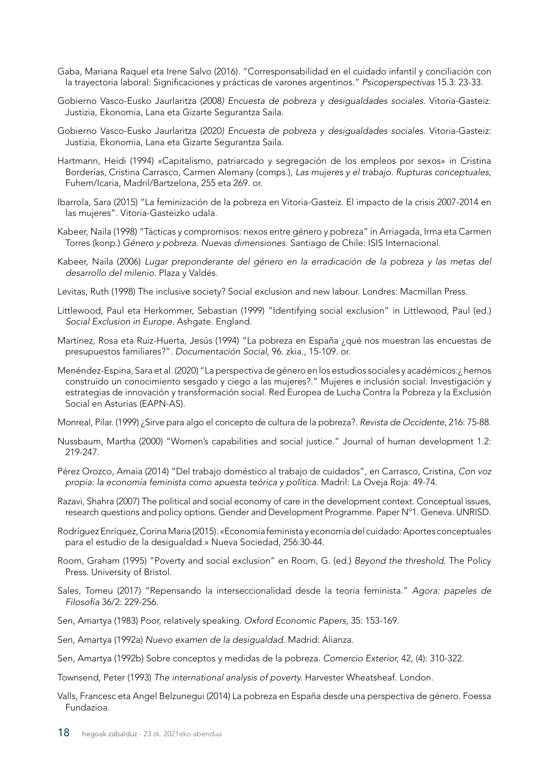- Gaba, Mariana Raquel eta Irene Salvo (2016). "Corresponsabilidad en el cuidado infantil y conciliación con la trayectoria laboral: Significaciones y prácticas de varones argentinos." *Psicoperspectivas* 15.3: 23-33.
- Gobierno Vasco-Eusko Jaurlaritza (2008*) Encuesta de pobreza y desigualdades sociales.* Vitoria-Gasteiz: Justizia, Ekonomia, Lana eta Gizarte Segurantza Saila.
- Gobierno Vasco-Eusko Jaurlaritza (2020*) Encuesta de pobreza y desigualdades sociales.* Vitoria-Gasteiz: Justizia, Ekonomia, Lana eta Gizarte Segurantza Saila.
- Hartmann, Heidi (1994) «Capitalismo, patriarcado y segregación de los empleos por sexos» in Cristina Borderías, Cristina Carrasco, Carmen Alemany (comps.), *Las mujeres y el trabajo. Rupturas conceptuales*, Fuhem/Icaria, Madril/Bartzelona, 255 eta 269. or.
- Ibarrola, Sara (2015) "La feminización de la pobreza en Vitoria-Gasteiz. El impacto de la crisis 2007-2014 en las mujeres". Vitoria-Gasteizko udala.
- Kabeer, Naila (1998) "Tácticas y compromisos: nexos entre género y pobreza" in Arriagada, Irma eta Carmen Torres (konp.) *Género y pobreza. Nuevas dimensiones*. Santiago de Chile: ISIS Internacional.
- Kabeer, Naila (2006) *Lugar preponderante del género en la erradicación de la pobreza y las metas del desarrollo del milenio*. Plaza y Valdés.
- Levitas, Ruth (1998) The inclusive society? Social exclusion and new labour. Londres: Macmillan Press.
- Littlewood, Paul eta Herkommer, Sebastian (1999) "Identifying social exclusion" in Littlewood, Paul (ed.) *Social Exclusion in Europe.* Ashgate. England.
- Martínez, Rosa eta Ruiz-Huerta, Jesús (1994) "La pobreza en España ¿qué nos muestran las encuestas de presupuestos familiares?". *Documentación Social,* 96. zkia., 15-109. or.
- Menéndez-Espina, Sara et al. (2020) "La perspectiva de género en los estudios sociales y académicos:¿ hemos construido un conocimiento sesgado y ciego a las mujeres?." Mujeres e inclusión social: Investigación y estrategias de innovación y transformación social. Red Europea de Lucha Contra la Pobreza y la Exclusión Social en Asturias (EAPN-AS).

Monreal, Pilar. (1999) ¿Sirve para algo el concepto de cultura de la pobreza?. *Revista de Occidente*, 216: 75-88.

- Nussbaum, Martha (2000) "Women's capabilities and social justice." Journal of human development 1.2: 219-247.
- Pérez Orozco, Amaia (2014) "Del trabajo doméstico al trabajo de cuidados", en Carrasco, Cristina, *Con voz propia: la economía feminista como apuesta teórica y política*. Madril: La Oveja Roja: 49-74.
- Razavi, Shahra (2007) The political and social economy of care in the development context. Conceptual issues, research questions and policy options. Gender and Development Programme. Paper Nº1. Geneva. UNRISD.
- Rodríguez Enríquez, Corina Maria (2015). «Economía feminista y economía del cuidado: Aportes conceptuales para el estudio de la desigualdad.» Nueva Sociedad, 256:30-44.
- Room, Graham (1995) "Poverty and social exclusion" en Room, G. (ed.) *Beyond the threshold*. The Policy Press. University of Bristol.
- Sales, Tomeu (2017) "Repensando la interseccionalidad desde la teoría feminista." *Agora: papeles de Filosofía* 36/2: 229-256.
- Sen, Amartya (1983) Poor, relatively speaking. *Oxford Economic Papers,* 35: 153-169.
- Sen, Amartya (1992a) *Nuevo examen de la desigualdad*. Madrid: Alianza.
- Sen, Amartya (1992b) Sobre conceptos y medidas de la pobreza. *Comercio Exterior,* 42, (4): 310-322.
- Townsend, Peter (1993) *The international analysis of poverty.* Harvester Wheatsheaf. London.
- Valls, Francesc eta Angel Belzunegui (2014) La pobreza en España desde una perspectiva de género. Foessa Fundazioa.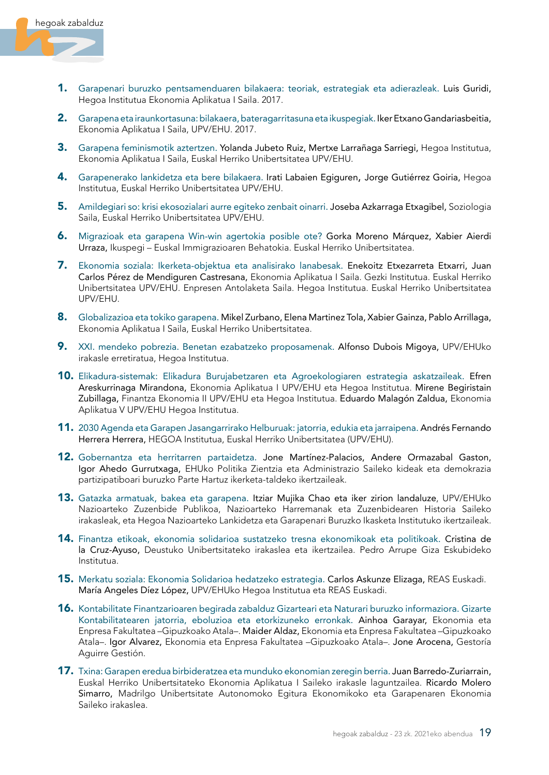

- 1. Garapenari buruzko pentsamenduaren bilakaera: teoriak, estrategiak eta adierazleak. Luis Guridi, Hegoa Institutua Ekonomia Aplikatua I Saila. 2017.
- 2. Garapena eta iraunkortasuna: bilakaera, bateragarritasuna eta ikuspegiak. Iker Etxano Gandariasbeitia, Ekonomia Aplikatua I Saila, UPV/EHU. 2017.
- 3. Garapena feminismotik aztertzen. Yolanda Jubeto Ruiz, Mertxe Larrañaga Sarriegi, Hegoa Institutua, Ekonomia Aplikatua I Saila, Euskal Herriko Unibertsitatea UPV/EHU.
- 4. Garapenerako lankidetza eta bere bilakaera. Irati Labaien Egiguren, Jorge Gutiérrez Goiria, Hegoa Institutua, Euskal Herriko Unibertsitatea UPV/EHU.
- 5. Amildegiari so: krisi ekosozialari aurre egiteko zenbait oinarri. Joseba Azkarraga Etxagibel, Soziologia Saila, Euskal Herriko Unibertsitatea UPV/EHU.
- 6. Migrazioak eta garapena Win-win agertokia posible ote? Gorka Moreno Márquez, Xabier Aierdi Urraza, Ikuspegi – Euskal Immigrazioaren Behatokia. Euskal Herriko Unibertsitatea.
- 7. Ekonomia soziala: Ikerketa-objektua eta analisirako lanabesak. Enekoitz Etxezarreta Etxarri, Juan Carlos Pérez de Mendiguren Castresana, Ekonomia Aplikatua I Saila. Gezki Institutua. Euskal Herriko Unibertsitatea UPV/EHU. Enpresen Antolaketa Saila. Hegoa Institutua. Euskal Herriko Unibertsitatea UPV/EHU.
- 8. Globalizazioa eta tokiko garapena. Mikel Zurbano, Elena Martinez Tola, Xabier Gainza, Pablo Arrillaga, Ekonomia Aplikatua I Saila, Euskal Herriko Unibertsitatea.
- 9. XXI. mendeko pobrezia. Benetan ezabatzeko proposamenak. Alfonso Dubois Migoya, UPV/EHUko irakasle erretiratua, Hegoa Institutua.
- 10. Elikadura-sistemak: Elikadura Burujabetzaren eta Agroekologiaren estrategia askatzaileak. Efren Areskurrinaga Mirandona, Ekonomia Aplikatua I UPV/EHU eta Hegoa Institutua. Mirene Begiristain Zubillaga, Finantza Ekonomia II UPV/EHU eta Hegoa Institutua. Eduardo Malagón Zaldua, Ekonomia Aplikatua V UPV/EHU Hegoa Institutua.
- 11. 2030 Agenda eta Garapen Jasangarrirako Helburuak: jatorria, edukia eta jarraipena. Andrés Fernando Herrera Herrera, HEGOA Institutua, Euskal Herriko Unibertsitatea (UPV/EHU).
- 12. Gobernantza eta herritarren partaidetza. Jone Martínez-Palacios, Andere Ormazabal Gaston, Igor Ahedo Gurrutxaga, EHUko Politika Zientzia eta Administrazio Saileko kideak eta demokrazia partizipatiboari buruzko Parte Hartuz ikerketa-taldeko ikertzaileak.
- 13. Gatazka armatuak, bakea eta garapena. Itziar Mujika Chao eta iker zirion landaluze, UPV/EHUko Nazioarteko Zuzenbide Publikoa, Nazioarteko Harremanak eta Zuzenbidearen Historia Saileko irakasleak, eta Hegoa Nazioarteko Lankidetza eta Garapenari Buruzko Ikasketa Institutuko ikertzaileak.
- 14. Finantza etikoak, ekonomia solidarioa sustatzeko tresna ekonomikoak eta politikoak. Cristina de la Cruz-Ayuso, Deustuko Unibertsitateko irakaslea eta ikertzailea. Pedro Arrupe Giza Eskubideko Institutua.
- 15. Merkatu soziala: Ekonomia Solidarioa hedatzeko estrategia. Carlos Askunze Elizaga, REAS Euskadi. María Angeles Díez López, UPV/EHUko Hegoa Institutua eta REAS Euskadi.
- 16. Kontabilitate Finantzarioaren begirada zabalduz Gizarteari eta Naturari buruzko informaziora. Gizarte Kontabilitatearen jatorria, eboluzioa eta etorkizuneko erronkak. Ainhoa Garayar, Ekonomia eta Enpresa Fakultatea –Gipuzkoako Atala–. Maider Aldaz, Ekonomia eta Enpresa Fakultatea –Gipuzkoako Atala–. Igor Alvarez, Ekonomia eta Enpresa Fakultatea –Gipuzkoako Atala–. Jone Arocena, Gestoría Aguirre Gestión.
- 17. Txina: Garapen eredua birbideratzea eta munduko ekonomian zeregin berria. Juan Barredo-Zuriarrain, Euskal Herriko Unibertsitateko Ekonomia Aplikatua I Saileko irakasle laguntzailea. Ricardo Molero Simarro, Madrilgo Unibertsitate Autonomoko Egitura Ekonomikoko eta Garapenaren Ekonomia Saileko irakaslea.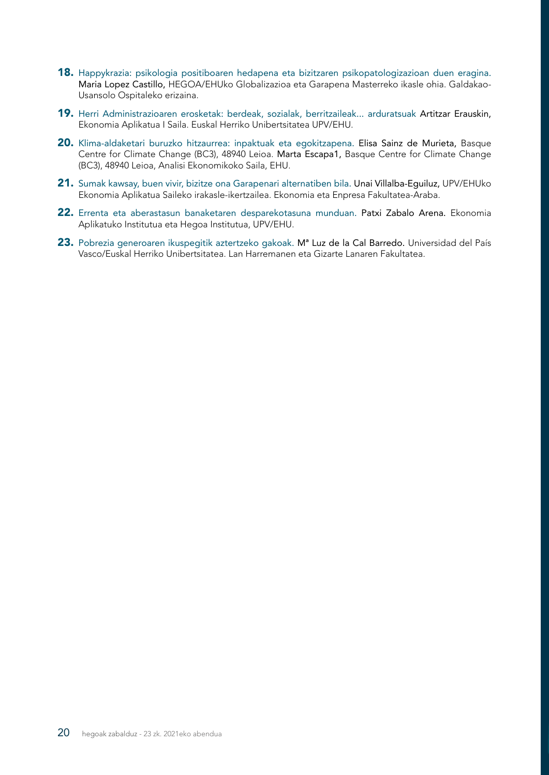- 18. Happykrazia: psikologia positiboaren hedapena eta bizitzaren psikopatologizazioan duen eragina. Maria Lopez Castillo, HEGOA/EHUko Globalizazioa eta Garapena Masterreko ikasle ohia. Galdakao-Usansolo Ospitaleko erizaina.
- 19. Herri Administrazioaren erosketak: berdeak, sozialak, berritzaileak... arduratsuak Artitzar Erauskin, Ekonomia Aplikatua I Saila. Euskal Herriko Unibertsitatea UPV/EHU.
- 20. Klima-aldaketari buruzko hitzaurrea: inpaktuak eta egokitzapena. Elisa Sainz de Murieta, Basque Centre for Climate Change (BC3), 48940 Leioa. Marta Escapa1, Basque Centre for Climate Change (BC3), 48940 Leioa, Analisi Ekonomikoko Saila, EHU.
- 21. Sumak kawsay, buen vivir, bizitze ona Garapenari alternatiben bila. Unai Villalba-Equiluz, UPV/EHUko Ekonomia Aplikatua Saileko irakasle-ikertzailea. Ekonomia eta Enpresa Fakultatea-Araba.
- 22. Errenta eta aberastasun banaketaren desparekotasuna munduan. Patxi Zabalo Arena. Ekonomia Aplikatuko Institutua eta Hegoa Institutua, UPV/EHU.
- 23. Pobrezia generoaren ikuspegitik aztertzeko gakoak. M<sup>a</sup> Luz de la Cal Barredo. Universidad del País Vasco/Euskal Herriko Unibertsitatea. Lan Harremanen eta Gizarte Lanaren Fakultatea.